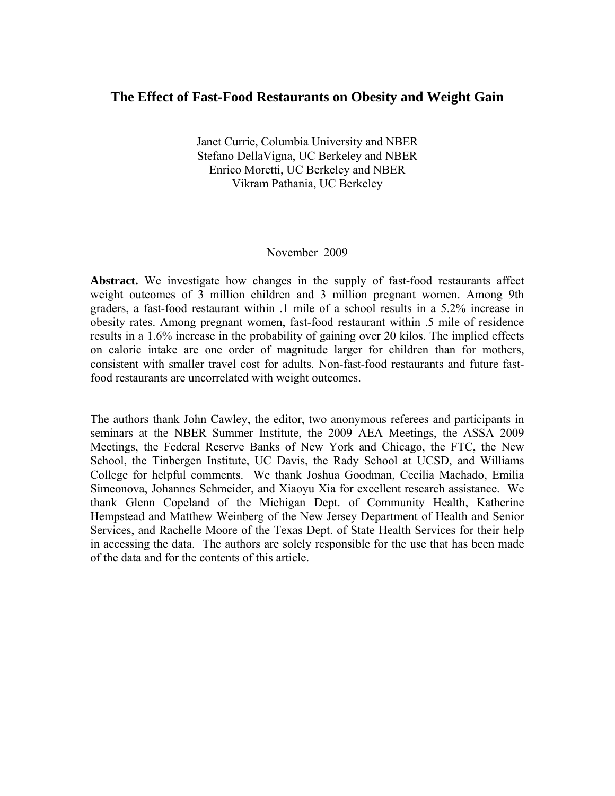# **The Effect of Fast-Food Restaurants on Obesity and Weight Gain**

Janet Currie, Columbia University and NBER Stefano DellaVigna, UC Berkeley and NBER Enrico Moretti, UC Berkeley and NBER Vikram Pathania, UC Berkeley

#### November 2009

**Abstract.** We investigate how changes in the supply of fast-food restaurants affect weight outcomes of 3 million children and 3 million pregnant women. Among 9th graders, a fast-food restaurant within .1 mile of a school results in a 5.2% increase in obesity rates. Among pregnant women, fast-food restaurant within .5 mile of residence results in a 1.6% increase in the probability of gaining over 20 kilos. The implied effects on caloric intake are one order of magnitude larger for children than for mothers, consistent with smaller travel cost for adults. Non-fast-food restaurants and future fastfood restaurants are uncorrelated with weight outcomes.

The authors thank John Cawley, the editor, two anonymous referees and participants in seminars at the NBER Summer Institute, the 2009 AEA Meetings, the ASSA 2009 Meetings, the Federal Reserve Banks of New York and Chicago, the FTC, the New School, the Tinbergen Institute, UC Davis, the Rady School at UCSD, and Williams College for helpful comments. We thank Joshua Goodman, Cecilia Machado, Emilia Simeonova, Johannes Schmeider, and Xiaoyu Xia for excellent research assistance. We thank Glenn Copeland of the Michigan Dept. of Community Health, Katherine Hempstead and Matthew Weinberg of the New Jersey Department of Health and Senior Services, and Rachelle Moore of the Texas Dept. of State Health Services for their help in accessing the data. The authors are solely responsible for the use that has been made of the data and for the contents of this article.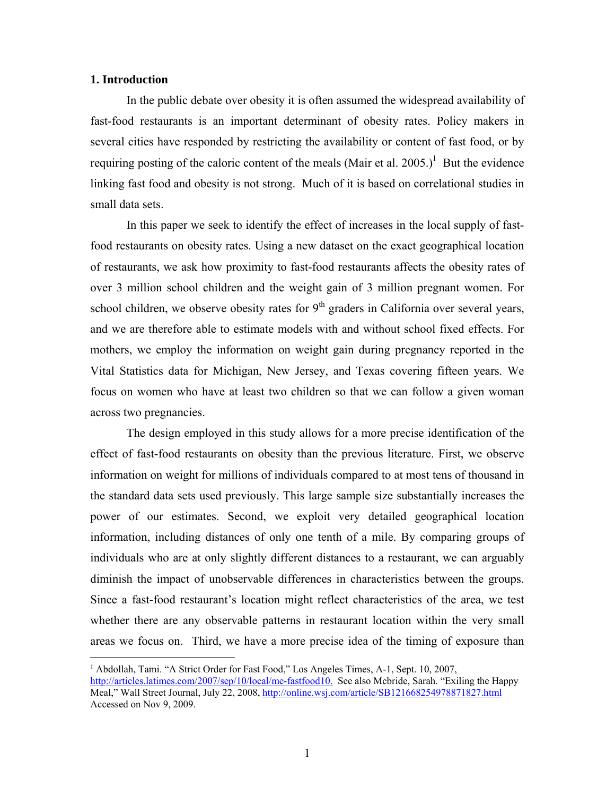## **1. Introduction**

 $\overline{a}$ 

In the public debate over obesity it is often assumed the widespread availability of fast-food restaurants is an important determinant of obesity rates. Policy makers in several cities have responded by restricting the availability or content of fast food, or by requiring posting of the caloric content of the meals (Mair et al. 2005.)<sup>1</sup> But the evidence linking fast food and obesity is not strong. Much of it is based on correlational studies in small data sets.

In this paper we seek to identify the effect of increases in the local supply of fastfood restaurants on obesity rates. Using a new dataset on the exact geographical location of restaurants, we ask how proximity to fast-food restaurants affects the obesity rates of over 3 million school children and the weight gain of 3 million pregnant women. For school children, we observe obesity rates for  $9<sup>th</sup>$  graders in California over several years, and we are therefore able to estimate models with and without school fixed effects. For mothers, we employ the information on weight gain during pregnancy reported in the Vital Statistics data for Michigan, New Jersey, and Texas covering fifteen years. We focus on women who have at least two children so that we can follow a given woman across two pregnancies.

The design employed in this study allows for a more precise identification of the effect of fast-food restaurants on obesity than the previous literature. First, we observe information on weight for millions of individuals compared to at most tens of thousand in the standard data sets used previously. This large sample size substantially increases the power of our estimates. Second, we exploit very detailed geographical location information, including distances of only one tenth of a mile. By comparing groups of individuals who are at only slightly different distances to a restaurant, we can arguably diminish the impact of unobservable differences in characteristics between the groups. Since a fast-food restaurant's location might reflect characteristics of the area, we test whether there are any observable patterns in restaurant location within the very small areas we focus on. Third, we have a more precise idea of the timing of exposure than

<sup>&</sup>lt;sup>1</sup> Abdollah, Tami. "A Strict Order for Fast Food," Los Angeles Times, A-1, Sept. 10, 2007, http://articles.latimes.com/2007/sep/10/local/me-fastfood10. See also Mcbride, Sarah. "Exiling the Happy Meal," Wall Street Journal, July 22, 2008, http://online.wsj.com/article/SB121668254978871827.html Accessed on Nov 9, 2009.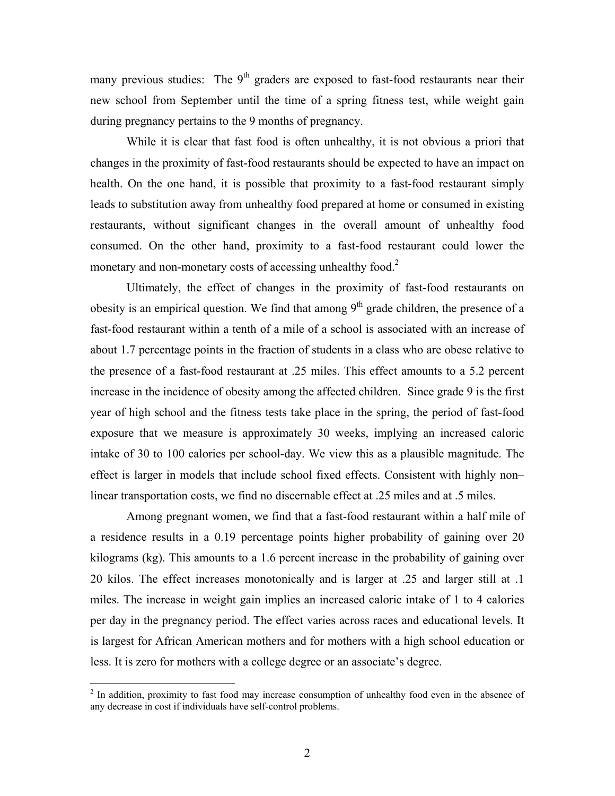many previous studies: The  $9<sup>th</sup>$  graders are exposed to fast-food restaurants near their new school from September until the time of a spring fitness test, while weight gain during pregnancy pertains to the 9 months of pregnancy.

While it is clear that fast food is often unhealthy, it is not obvious a priori that changes in the proximity of fast-food restaurants should be expected to have an impact on health. On the one hand, it is possible that proximity to a fast-food restaurant simply leads to substitution away from unhealthy food prepared at home or consumed in existing restaurants, without significant changes in the overall amount of unhealthy food consumed. On the other hand, proximity to a fast-food restaurant could lower the monetary and non-monetary costs of accessing unhealthy food. $2$ 

Ultimately, the effect of changes in the proximity of fast-food restaurants on obesity is an empirical question. We find that among  $9<sup>th</sup>$  grade children, the presence of a fast-food restaurant within a tenth of a mile of a school is associated with an increase of about 1.7 percentage points in the fraction of students in a class who are obese relative to the presence of a fast-food restaurant at .25 miles. This effect amounts to a 5.2 percent increase in the incidence of obesity among the affected children. Since grade 9 is the first year of high school and the fitness tests take place in the spring, the period of fast-food exposure that we measure is approximately 30 weeks, implying an increased caloric intake of 30 to 100 calories per school-day. We view this as a plausible magnitude. The effect is larger in models that include school fixed effects. Consistent with highly non– linear transportation costs, we find no discernable effect at .25 miles and at .5 miles.

Among pregnant women, we find that a fast-food restaurant within a half mile of a residence results in a 0.19 percentage points higher probability of gaining over 20 kilograms (kg). This amounts to a 1.6 percent increase in the probability of gaining over 20 kilos. The effect increases monotonically and is larger at .25 and larger still at .1 miles. The increase in weight gain implies an increased caloric intake of 1 to 4 calories per day in the pregnancy period. The effect varies across races and educational levels. It is largest for African American mothers and for mothers with a high school education or less. It is zero for mothers with a college degree or an associate's degree.

 $\overline{a}$ 

<sup>&</sup>lt;sup>2</sup> In addition, proximity to fast food may increase consumption of unhealthy food even in the absence of any decrease in cost if individuals have self-control problems.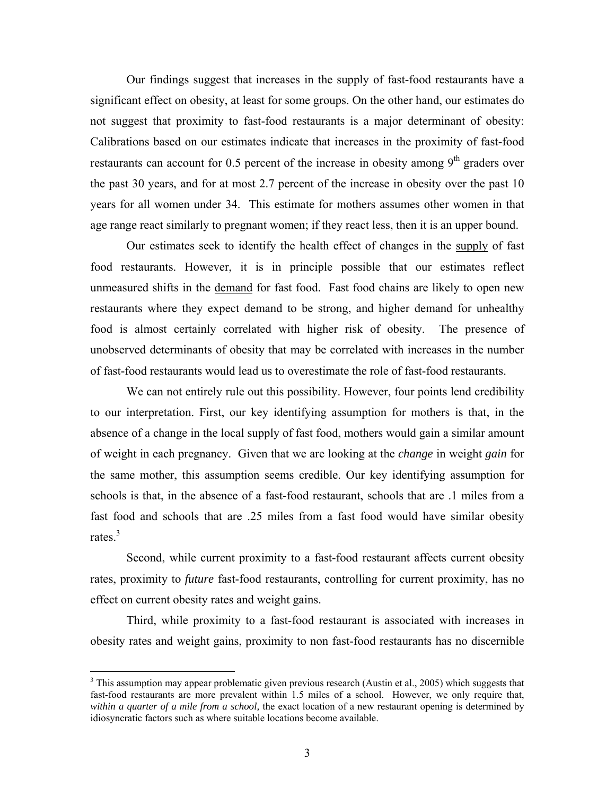Our findings suggest that increases in the supply of fast-food restaurants have a significant effect on obesity, at least for some groups. On the other hand, our estimates do not suggest that proximity to fast-food restaurants is a major determinant of obesity: Calibrations based on our estimates indicate that increases in the proximity of fast-food restaurants can account for 0.5 percent of the increase in obesity among  $9<sup>th</sup>$  graders over the past 30 years, and for at most 2.7 percent of the increase in obesity over the past 10 years for all women under 34. This estimate for mothers assumes other women in that age range react similarly to pregnant women; if they react less, then it is an upper bound.

Our estimates seek to identify the health effect of changes in the supply of fast food restaurants. However, it is in principle possible that our estimates reflect unmeasured shifts in the demand for fast food. Fast food chains are likely to open new restaurants where they expect demand to be strong, and higher demand for unhealthy food is almost certainly correlated with higher risk of obesity. The presence of unobserved determinants of obesity that may be correlated with increases in the number of fast-food restaurants would lead us to overestimate the role of fast-food restaurants.

We can not entirely rule out this possibility. However, four points lend credibility to our interpretation. First, our key identifying assumption for mothers is that, in the absence of a change in the local supply of fast food, mothers would gain a similar amount of weight in each pregnancy. Given that we are looking at the *change* in weight *gain* for the same mother, this assumption seems credible. Our key identifying assumption for schools is that, in the absence of a fast-food restaurant, schools that are .1 miles from a fast food and schools that are .25 miles from a fast food would have similar obesity rates. $3$ 

Second, while current proximity to a fast-food restaurant affects current obesity rates, proximity to *future* fast-food restaurants, controlling for current proximity, has no effect on current obesity rates and weight gains.

Third, while proximity to a fast-food restaurant is associated with increases in obesity rates and weight gains, proximity to non fast-food restaurants has no discernible

<sup>&</sup>lt;sup>3</sup> This assumption may appear problematic given previous research (Austin et al., 2005) which suggests that fast-food restaurants are more prevalent within 1.5 miles of a school. However, we only require that, *within a quarter of a mile from a school,* the exact location of a new restaurant opening is determined by idiosyncratic factors such as where suitable locations become available.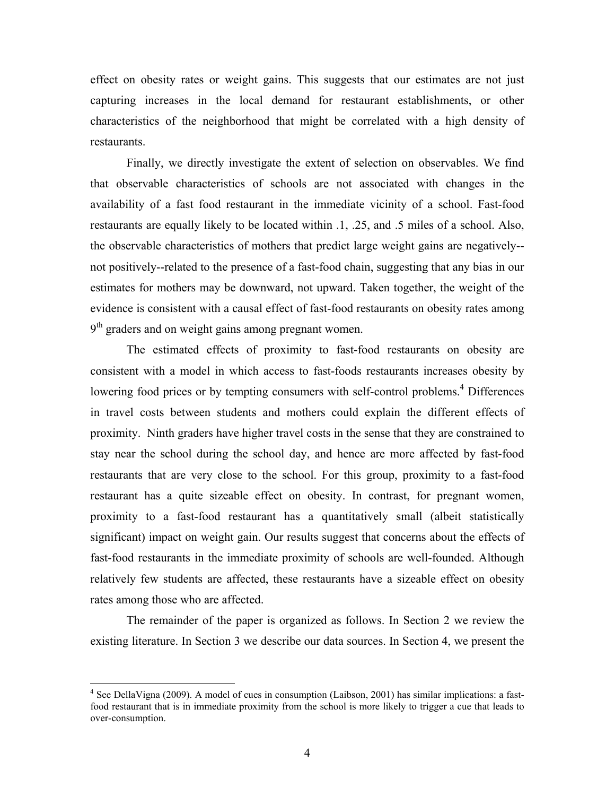effect on obesity rates or weight gains. This suggests that our estimates are not just capturing increases in the local demand for restaurant establishments, or other characteristics of the neighborhood that might be correlated with a high density of restaurants.

Finally, we directly investigate the extent of selection on observables. We find that observable characteristics of schools are not associated with changes in the availability of a fast food restaurant in the immediate vicinity of a school. Fast-food restaurants are equally likely to be located within .1, .25, and .5 miles of a school. Also, the observable characteristics of mothers that predict large weight gains are negatively- not positively--related to the presence of a fast-food chain, suggesting that any bias in our estimates for mothers may be downward, not upward. Taken together, the weight of the evidence is consistent with a causal effect of fast-food restaurants on obesity rates among  $9<sup>th</sup>$  graders and on weight gains among pregnant women.

The estimated effects of proximity to fast-food restaurants on obesity are consistent with a model in which access to fast-foods restaurants increases obesity by lowering food prices or by tempting consumers with self-control problems.<sup>4</sup> Differences in travel costs between students and mothers could explain the different effects of proximity. Ninth graders have higher travel costs in the sense that they are constrained to stay near the school during the school day, and hence are more affected by fast-food restaurants that are very close to the school. For this group, proximity to a fast-food restaurant has a quite sizeable effect on obesity. In contrast, for pregnant women, proximity to a fast-food restaurant has a quantitatively small (albeit statistically significant) impact on weight gain. Our results suggest that concerns about the effects of fast-food restaurants in the immediate proximity of schools are well-founded. Although relatively few students are affected, these restaurants have a sizeable effect on obesity rates among those who are affected.

 The remainder of the paper is organized as follows. In Section 2 we review the existing literature. In Section 3 we describe our data sources. In Section 4, we present the

 $\overline{a}$ 

<sup>&</sup>lt;sup>4</sup> See DellaVigna (2009). A model of cues in consumption (Laibson, 2001) has similar implications: a fastfood restaurant that is in immediate proximity from the school is more likely to trigger a cue that leads to over-consumption.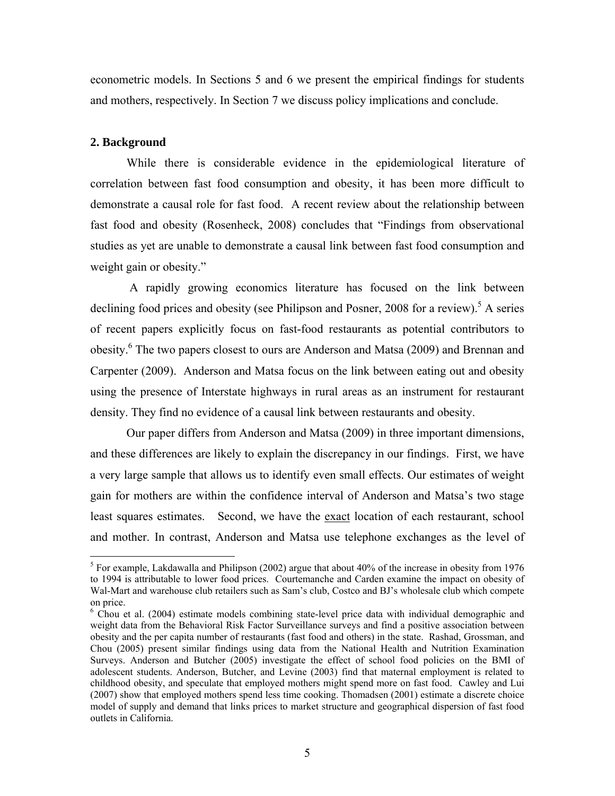econometric models. In Sections 5 and 6 we present the empirical findings for students and mothers, respectively. In Section 7 we discuss policy implications and conclude.

### **2. Background**

 $\overline{a}$ 

While there is considerable evidence in the epidemiological literature of correlation between fast food consumption and obesity, it has been more difficult to demonstrate a causal role for fast food. A recent review about the relationship between fast food and obesity (Rosenheck, 2008) concludes that "Findings from observational studies as yet are unable to demonstrate a causal link between fast food consumption and weight gain or obesity."

 A rapidly growing economics literature has focused on the link between declining food prices and obesity (see Philipson and Posner, 2008 for a review).<sup>5</sup> A series of recent papers explicitly focus on fast-food restaurants as potential contributors to obesity.<sup>6</sup> The two papers closest to ours are Anderson and Matsa (2009) and Brennan and Carpenter (2009). Anderson and Matsa focus on the link between eating out and obesity using the presence of Interstate highways in rural areas as an instrument for restaurant density. They find no evidence of a causal link between restaurants and obesity.

Our paper differs from Anderson and Matsa (2009) in three important dimensions, and these differences are likely to explain the discrepancy in our findings. First, we have a very large sample that allows us to identify even small effects. Our estimates of weight gain for mothers are within the confidence interval of Anderson and Matsa's two stage least squares estimates. Second, we have the exact location of each restaurant, school and mother. In contrast, Anderson and Matsa use telephone exchanges as the level of

<sup>&</sup>lt;sup>5</sup> For example, Lakdawalla and Philipson (2002) argue that about 40% of the increase in obesity from 1976 to 1994 is attributable to lower food prices. Courtemanche and Carden examine the impact on obesity of Wal-Mart and warehouse club retailers such as Sam's club, Costco and BJ's wholesale club which compete on price.

<sup>&</sup>lt;sup>6</sup> Chou et al. (2004) estimate models combining state-level price data with individual demographic and weight data from the Behavioral Risk Factor Surveillance surveys and find a positive association between obesity and the per capita number of restaurants (fast food and others) in the state. Rashad, Grossman, and Chou (2005) present similar findings using data from the National Health and Nutrition Examination Surveys. Anderson and Butcher (2005) investigate the effect of school food policies on the BMI of adolescent students. Anderson, Butcher, and Levine (2003) find that maternal employment is related to childhood obesity, and speculate that employed mothers might spend more on fast food. Cawley and Lui (2007) show that employed mothers spend less time cooking. Thomadsen (2001) estimate a discrete choice model of supply and demand that links prices to market structure and geographical dispersion of fast food outlets in California.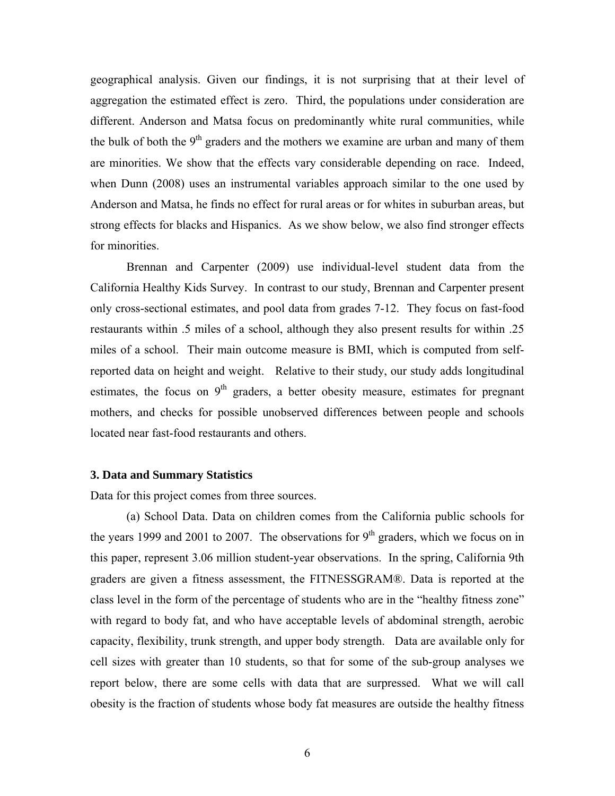geographical analysis. Given our findings, it is not surprising that at their level of aggregation the estimated effect is zero. Third, the populations under consideration are different. Anderson and Matsa focus on predominantly white rural communities, while the bulk of both the  $9<sup>th</sup>$  graders and the mothers we examine are urban and many of them are minorities. We show that the effects vary considerable depending on race. Indeed, when Dunn (2008) uses an instrumental variables approach similar to the one used by Anderson and Matsa, he finds no effect for rural areas or for whites in suburban areas, but strong effects for blacks and Hispanics. As we show below, we also find stronger effects for minorities.

Brennan and Carpenter (2009) use individual-level student data from the California Healthy Kids Survey. In contrast to our study, Brennan and Carpenter present only cross-sectional estimates, and pool data from grades 7-12. They focus on fast-food restaurants within .5 miles of a school, although they also present results for within .25 miles of a school. Their main outcome measure is BMI, which is computed from selfreported data on height and weight. Relative to their study, our study adds longitudinal estimates, the focus on  $9<sup>th</sup>$  graders, a better obesity measure, estimates for pregnant mothers, and checks for possible unobserved differences between people and schools located near fast-food restaurants and others.

#### **3. Data and Summary Statistics**

Data for this project comes from three sources.

(a) School Data. Data on children comes from the California public schools for the years 1999 and 2001 to 2007. The observations for  $9<sup>th</sup>$  graders, which we focus on in this paper, represent 3.06 million student-year observations. In the spring, California 9th graders are given a fitness assessment, the FITNESSGRAM®. Data is reported at the class level in the form of the percentage of students who are in the "healthy fitness zone" with regard to body fat, and who have acceptable levels of abdominal strength, aerobic capacity, flexibility, trunk strength, and upper body strength. Data are available only for cell sizes with greater than 10 students, so that for some of the sub-group analyses we report below, there are some cells with data that are surpressed. What we will call obesity is the fraction of students whose body fat measures are outside the healthy fitness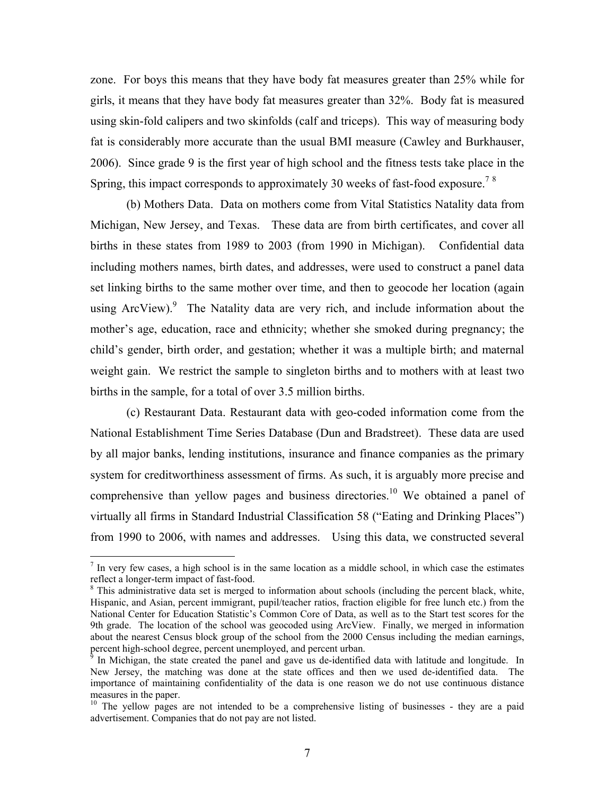zone. For boys this means that they have body fat measures greater than 25% while for girls, it means that they have body fat measures greater than 32%. Body fat is measured using skin-fold calipers and two skinfolds (calf and triceps). This way of measuring body fat is considerably more accurate than the usual BMI measure (Cawley and Burkhauser, 2006). Since grade 9 is the first year of high school and the fitness tests take place in the Spring, this impact corresponds to approximately 30 weeks of fast-food exposure.<sup>78</sup>

 (b) Mothers Data. Data on mothers come from Vital Statistics Natality data from Michigan, New Jersey, and Texas. These data are from birth certificates, and cover all births in these states from 1989 to 2003 (from 1990 in Michigan). Confidential data including mothers names, birth dates, and addresses, were used to construct a panel data set linking births to the same mother over time, and then to geocode her location (again using ArcView). $9$  The Natality data are very rich, and include information about the mother's age, education, race and ethnicity; whether she smoked during pregnancy; the child's gender, birth order, and gestation; whether it was a multiple birth; and maternal weight gain. We restrict the sample to singleton births and to mothers with at least two births in the sample, for a total of over 3.5 million births.

 (c) Restaurant Data. Restaurant data with geo-coded information come from the National Establishment Time Series Database (Dun and Bradstreet). These data are used by all major banks, lending institutions, insurance and finance companies as the primary system for creditworthiness assessment of firms. As such, it is arguably more precise and comprehensive than yellow pages and business directories.<sup>10</sup> We obtained a panel of virtually all firms in Standard Industrial Classification 58 ("Eating and Drinking Places") from 1990 to 2006, with names and addresses. Using this data, we constructed several

 $\overline{a}$ 

 $<sup>7</sup>$  In very few cases, a high school is in the same location as a middle school, in which case the estimates</sup> reflect a longer-term impact of fast-food. 8

<sup>&</sup>lt;sup>8</sup> This administrative data set is merged to information about schools (including the percent black, white, Hispanic, and Asian, percent immigrant, pupil/teacher ratios, fraction eligible for free lunch etc.) from the National Center for Education Statistic's Common Core of Data, as well as to the Start test scores for the 9th grade. The location of the school was geocoded using ArcView. Finally, we merged in information about the nearest Census block group of the school from the 2000 Census including the median earnings, percent high-school degree, percent unemployed, and percent urban.

<sup>&</sup>lt;sup>9</sup> In Michigan, the state created the panel and gave us de-identified data with latitude and longitude. In New Jersey, the matching was done at the state offices and then we used de-identified data. The importance of maintaining confidentiality of the data is one reason we do not use continuous distance measures in the paper.

<sup>&</sup>lt;sup>10</sup> The yellow pages are not intended to be a comprehensive listing of businesses - they are a paid advertisement. Companies that do not pay are not listed.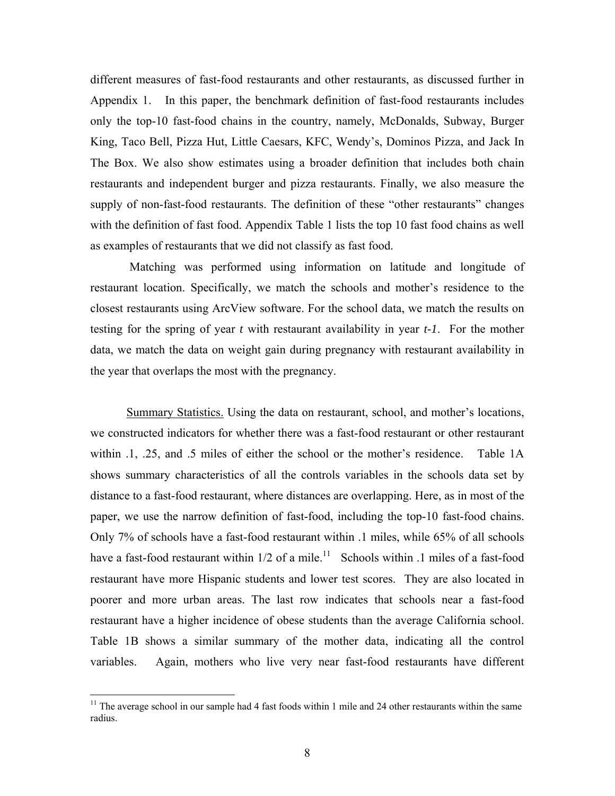different measures of fast-food restaurants and other restaurants, as discussed further in Appendix 1. In this paper, the benchmark definition of fast-food restaurants includes only the top-10 fast-food chains in the country, namely, McDonalds, Subway, Burger King, Taco Bell, Pizza Hut, Little Caesars, KFC, Wendy's, Dominos Pizza, and Jack In The Box. We also show estimates using a broader definition that includes both chain restaurants and independent burger and pizza restaurants. Finally, we also measure the supply of non-fast-food restaurants. The definition of these "other restaurants" changes with the definition of fast food. Appendix Table 1 lists the top 10 fast food chains as well as examples of restaurants that we did not classify as fast food.

 Matching was performed using information on latitude and longitude of restaurant location. Specifically, we match the schools and mother's residence to the closest restaurants using ArcView software. For the school data, we match the results on testing for the spring of year *t* with restaurant availability in year *t-1*. For the mother data, we match the data on weight gain during pregnancy with restaurant availability in the year that overlaps the most with the pregnancy.

Summary Statistics. Using the data on restaurant, school, and mother's locations, we constructed indicators for whether there was a fast-food restaurant or other restaurant within .1, .25, and .5 miles of either the school or the mother's residence. Table 1A shows summary characteristics of all the controls variables in the schools data set by distance to a fast-food restaurant, where distances are overlapping. Here, as in most of the paper, we use the narrow definition of fast-food, including the top-10 fast-food chains. Only 7% of schools have a fast-food restaurant within .1 miles, while 65% of all schools have a fast-food restaurant within  $1/2$  of a mile.<sup>11</sup> Schools within .1 miles of a fast-food restaurant have more Hispanic students and lower test scores. They are also located in poorer and more urban areas. The last row indicates that schools near a fast-food restaurant have a higher incidence of obese students than the average California school. Table 1B shows a similar summary of the mother data, indicating all the control variables. Again, mothers who live very near fast-food restaurants have different

1

 $11$  The average school in our sample had 4 fast foods within 1 mile and 24 other restaurants within the same radius.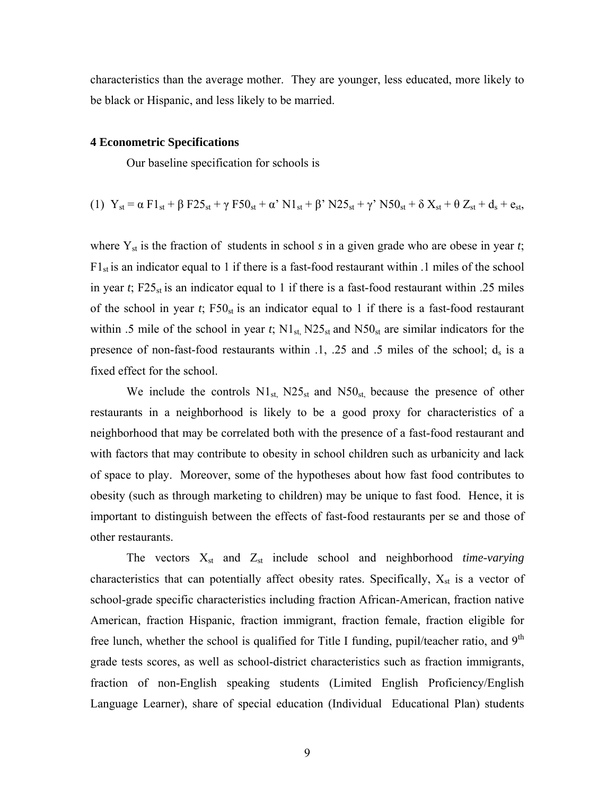characteristics than the average mother. They are younger, less educated, more likely to be black or Hispanic, and less likely to be married.

#### **4 Econometric Specifications**

Our baseline specification for schools is

(1)  $Y_{st} = \alpha F1_{st} + \beta F25_{st} + \gamma F50_{st} + \alpha' NI_{st} + \beta' N25_{st} + \gamma' N50_{st} + \delta X_{st} + \theta Z_{st} + d_s + e_{st}$ 

where Y<sub>st</sub> is the fraction of students in school *s* in a given grade who are obese in year *t*;  $F1_{st}$  is an indicator equal to 1 if there is a fast-food restaurant within .1 miles of the school in year  $t$ ; F25<sub>st</sub> is an indicator equal to 1 if there is a fast-food restaurant within .25 miles of the school in year  $t$ ; F50<sub>st</sub> is an indicator equal to 1 if there is a fast-food restaurant within .5 mile of the school in year  $t$ ; N1 $_{st}$ , N25 $_{st}$  and N50 $_{st}$  are similar indicators for the presence of non-fast-food restaurants within  $.1, .25$  and  $.5$  miles of the school;  $d_s$  is a fixed effect for the school.

We include the controls  $N1_{st}$ ,  $N25_{st}$  and  $N50_{st}$ , because the presence of other restaurants in a neighborhood is likely to be a good proxy for characteristics of a neighborhood that may be correlated both with the presence of a fast-food restaurant and with factors that may contribute to obesity in school children such as urbanicity and lack of space to play. Moreover, some of the hypotheses about how fast food contributes to obesity (such as through marketing to children) may be unique to fast food. Hence, it is important to distinguish between the effects of fast-food restaurants per se and those of other restaurants.

The vectors  $X_{st}$  and  $Z_{st}$  include school and neighborhood *time-varying* characteristics that can potentially affect obesity rates. Specifically,  $X_{st}$  is a vector of school-grade specific characteristics including fraction African-American, fraction native American, fraction Hispanic, fraction immigrant, fraction female, fraction eligible for free lunch, whether the school is qualified for Title I funding, pupil/teacher ratio, and  $9<sup>th</sup>$ grade tests scores, as well as school-district characteristics such as fraction immigrants, fraction of non-English speaking students (Limited English Proficiency/English Language Learner), share of special education (Individual Educational Plan) students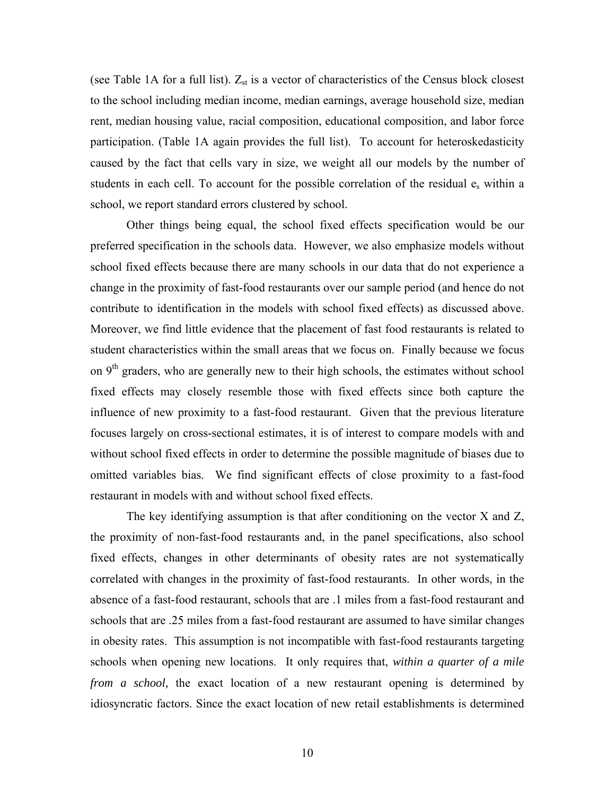(see Table 1A for a full list).  $Z_{st}$  is a vector of characteristics of the Census block closest to the school including median income, median earnings, average household size, median rent, median housing value, racial composition, educational composition, and labor force participation. (Table 1A again provides the full list). To account for heteroskedasticity caused by the fact that cells vary in size, we weight all our models by the number of students in each cell. To account for the possible correlation of the residual  $e_s$  within a school, we report standard errors clustered by school.

Other things being equal, the school fixed effects specification would be our preferred specification in the schools data. However, we also emphasize models without school fixed effects because there are many schools in our data that do not experience a change in the proximity of fast-food restaurants over our sample period (and hence do not contribute to identification in the models with school fixed effects) as discussed above. Moreover, we find little evidence that the placement of fast food restaurants is related to student characteristics within the small areas that we focus on. Finally because we focus on  $9<sup>th</sup>$  graders, who are generally new to their high schools, the estimates without school fixed effects may closely resemble those with fixed effects since both capture the influence of new proximity to a fast-food restaurant. Given that the previous literature focuses largely on cross-sectional estimates, it is of interest to compare models with and without school fixed effects in order to determine the possible magnitude of biases due to omitted variables bias. We find significant effects of close proximity to a fast-food restaurant in models with and without school fixed effects.

The key identifying assumption is that after conditioning on the vector X and Z, the proximity of non-fast-food restaurants and, in the panel specifications, also school fixed effects, changes in other determinants of obesity rates are not systematically correlated with changes in the proximity of fast-food restaurants. In other words, in the absence of a fast-food restaurant, schools that are .1 miles from a fast-food restaurant and schools that are .25 miles from a fast-food restaurant are assumed to have similar changes in obesity rates. This assumption is not incompatible with fast-food restaurants targeting schools when opening new locations. It only requires that, *within a quarter of a mile from a school,* the exact location of a new restaurant opening is determined by idiosyncratic factors. Since the exact location of new retail establishments is determined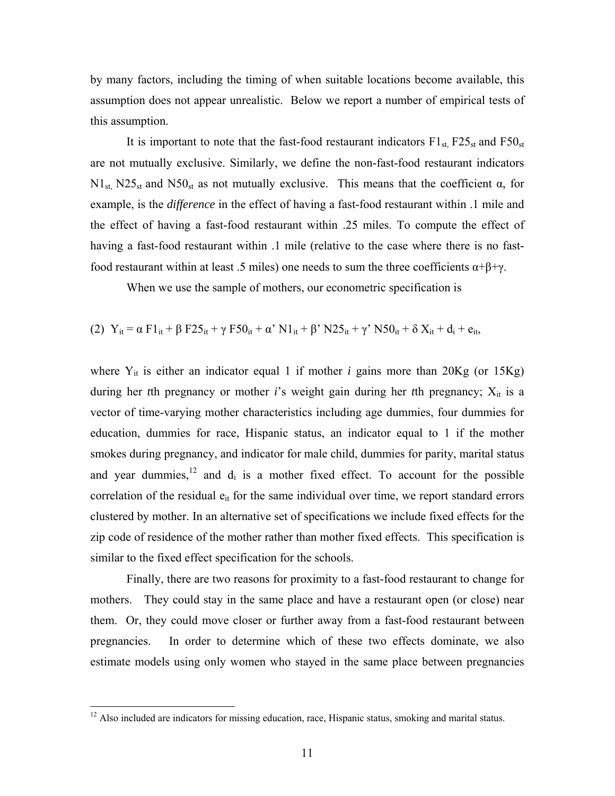by many factors, including the timing of when suitable locations become available, this assumption does not appear unrealistic. Below we report a number of empirical tests of this assumption.

It is important to note that the fast-food restaurant indicators  $F1_{st}$ ,  $F25_{st}$  and  $F50_{st}$ are not mutually exclusive. Similarly, we define the non-fast-food restaurant indicators  $N1_{st}$ , N25<sub>st</sub> and N50<sub>st</sub> as not mutually exclusive. This means that the coefficient  $\alpha$ , for example, is the *difference* in the effect of having a fast-food restaurant within .1 mile and the effect of having a fast-food restaurant within .25 miles. To compute the effect of having a fast-food restaurant within .1 mile (relative to the case where there is no fastfood restaurant within at least .5 miles) one needs to sum the three coefficients  $\alpha+\beta+\gamma$ .

When we use the sample of mothers, our econometric specification is

(2) 
$$
Y_{it} = \alpha F1_{it} + \beta F25_{it} + \gamma F50_{it} + \alpha' N1_{it} + \beta' N25_{it} + \gamma' N50_{it} + \delta X_{it} + d_i + e_{it}
$$

where  $Y_{it}$  is either an indicator equal 1 if mother *i* gains more than 20Kg (or 15Kg) during her *t*th pregnancy or mother *i*'s weight gain during her *t*th pregnancy;  $X_{it}$  is a vector of time-varying mother characteristics including age dummies, four dummies for education, dummies for race, Hispanic status, an indicator equal to 1 if the mother smokes during pregnancy, and indicator for male child, dummies for parity, marital status and year dummies, $12$  and  $d_i$  is a mother fixed effect. To account for the possible correlation of the residual  $e_{it}$  for the same individual over time, we report standard errors clustered by mother. In an alternative set of specifications we include fixed effects for the zip code of residence of the mother rather than mother fixed effects. This specification is similar to the fixed effect specification for the schools.

 Finally, there are two reasons for proximity to a fast-food restaurant to change for mothers. They could stay in the same place and have a restaurant open (or close) near them. Or, they could move closer or further away from a fast-food restaurant between pregnancies. In order to determine which of these two effects dominate, we also estimate models using only women who stayed in the same place between pregnancies

<u>.</u>

 $12$  Also included are indicators for missing education, race, Hispanic status, smoking and marital status.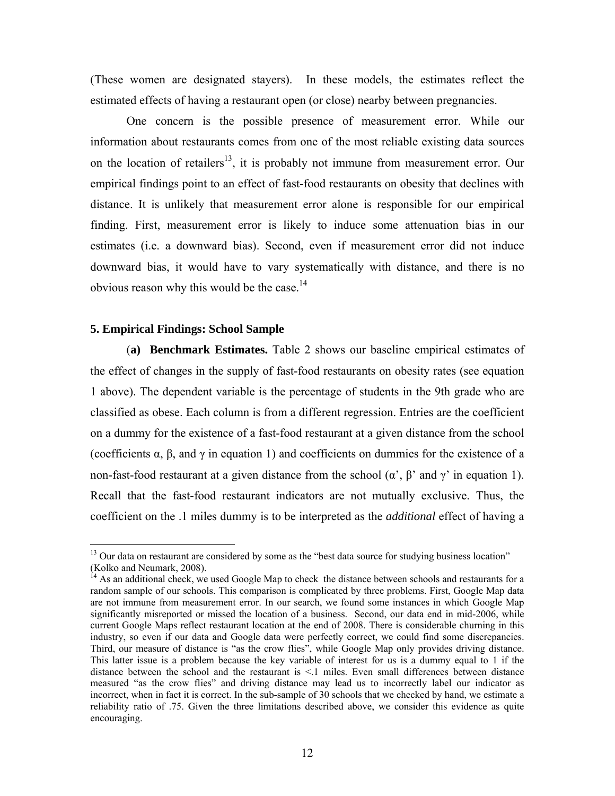(These women are designated stayers). In these models, the estimates reflect the estimated effects of having a restaurant open (or close) nearby between pregnancies.

 One concern is the possible presence of measurement error. While our information about restaurants comes from one of the most reliable existing data sources on the location of retailers<sup>13</sup>, it is probably not immune from measurement error. Our empirical findings point to an effect of fast-food restaurants on obesity that declines with distance. It is unlikely that measurement error alone is responsible for our empirical finding. First, measurement error is likely to induce some attenuation bias in our estimates (i.e. a downward bias). Second, even if measurement error did not induce downward bias, it would have to vary systematically with distance, and there is no obvious reason why this would be the case.<sup>14</sup>

#### **5. Empirical Findings: School Sample**

 $\overline{a}$ 

 (**a) Benchmark Estimates.** Table 2 shows our baseline empirical estimates of the effect of changes in the supply of fast-food restaurants on obesity rates (see equation 1 above). The dependent variable is the percentage of students in the 9th grade who are classified as obese. Each column is from a different regression. Entries are the coefficient on a dummy for the existence of a fast-food restaurant at a given distance from the school (coefficients  $\alpha$ ,  $\beta$ , and  $\gamma$  in equation 1) and coefficients on dummies for the existence of a non-fast-food restaurant at a given distance from the school  $(α', β'$  and  $γ'$  in equation 1). Recall that the fast-food restaurant indicators are not mutually exclusive. Thus, the coefficient on the .1 miles dummy is to be interpreted as the *additional* effect of having a

<sup>&</sup>lt;sup>13</sup> Our data on restaurant are considered by some as the "best data source for studying business location" (Kolko and Neumark, 2008).

 $14$  As an additional check, we used Google Map to check the distance between schools and restaurants for a random sample of our schools. This comparison is complicated by three problems. First, Google Map data are not immune from measurement error. In our search, we found some instances in which Google Map significantly misreported or missed the location of a business. Second, our data end in mid-2006, while current Google Maps reflect restaurant location at the end of 2008. There is considerable churning in this industry, so even if our data and Google data were perfectly correct, we could find some discrepancies. Third, our measure of distance is "as the crow flies", while Google Map only provides driving distance. This latter issue is a problem because the key variable of interest for us is a dummy equal to 1 if the distance between the school and the restaurant is <.1 miles. Even small differences between distance measured "as the crow flies" and driving distance may lead us to incorrectly label our indicator as incorrect, when in fact it is correct. In the sub-sample of 30 schools that we checked by hand, we estimate a reliability ratio of .75. Given the three limitations described above, we consider this evidence as quite encouraging.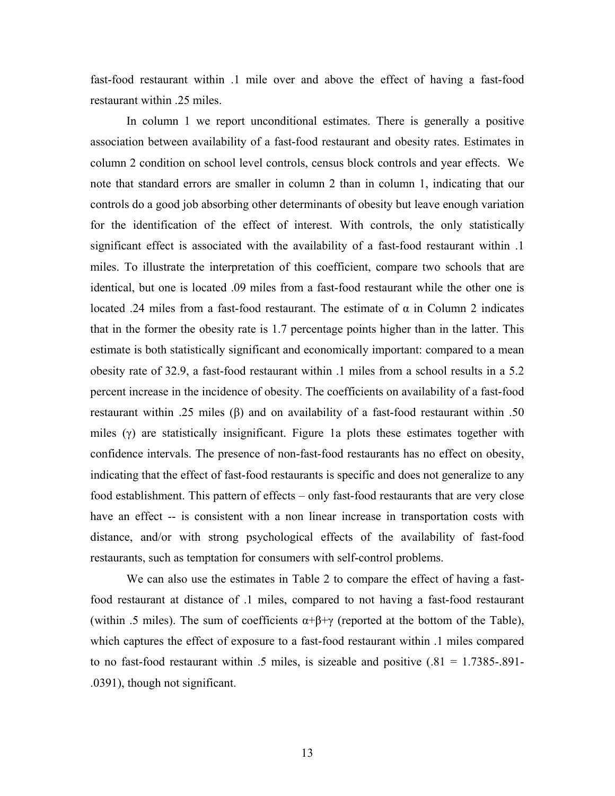fast-food restaurant within .1 mile over and above the effect of having a fast-food restaurant within .25 miles.

In column 1 we report unconditional estimates. There is generally a positive association between availability of a fast-food restaurant and obesity rates. Estimates in column 2 condition on school level controls, census block controls and year effects. We note that standard errors are smaller in column 2 than in column 1, indicating that our controls do a good job absorbing other determinants of obesity but leave enough variation for the identification of the effect of interest. With controls, the only statistically significant effect is associated with the availability of a fast-food restaurant within .1 miles. To illustrate the interpretation of this coefficient, compare two schools that are identical, but one is located .09 miles from a fast-food restaurant while the other one is located .24 miles from a fast-food restaurant. The estimate of α in Column 2 indicates that in the former the obesity rate is 1.7 percentage points higher than in the latter. This estimate is both statistically significant and economically important: compared to a mean obesity rate of 32.9, a fast-food restaurant within .1 miles from a school results in a 5.2 percent increase in the incidence of obesity. The coefficients on availability of a fast-food restaurant within .25 miles (β) and on availability of a fast-food restaurant within .50 miles (γ) are statistically insignificant. Figure 1a plots these estimates together with confidence intervals. The presence of non-fast-food restaurants has no effect on obesity, indicating that the effect of fast-food restaurants is specific and does not generalize to any food establishment. This pattern of effects – only fast-food restaurants that are very close have an effect -- is consistent with a non linear increase in transportation costs with distance, and/or with strong psychological effects of the availability of fast-food restaurants, such as temptation for consumers with self-control problems.

We can also use the estimates in Table 2 to compare the effect of having a fastfood restaurant at distance of .1 miles, compared to not having a fast-food restaurant (within .5 miles). The sum of coefficients  $\alpha+\beta+\gamma$  (reported at the bottom of the Table), which captures the effect of exposure to a fast-food restaurant within .1 miles compared to no fast-food restaurant within .5 miles, is sizeable and positive (.81 = 1.7385-.891- .0391), though not significant.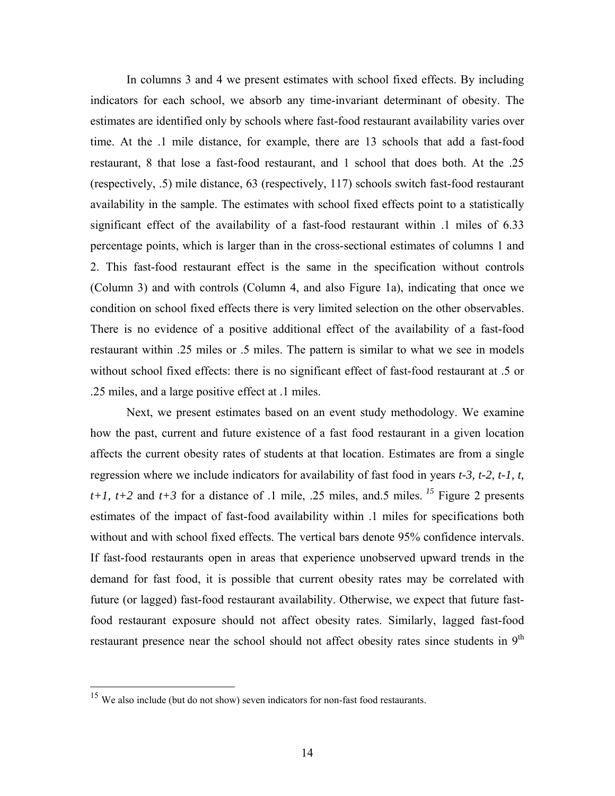In columns 3 and 4 we present estimates with school fixed effects. By including indicators for each school, we absorb any time-invariant determinant of obesity. The estimates are identified only by schools where fast-food restaurant availability varies over time. At the .1 mile distance, for example, there are 13 schools that add a fast-food restaurant, 8 that lose a fast-food restaurant, and 1 school that does both. At the .25 (respectively, .5) mile distance, 63 (respectively, 117) schools switch fast-food restaurant availability in the sample. The estimates with school fixed effects point to a statistically significant effect of the availability of a fast-food restaurant within .1 miles of 6.33 percentage points, which is larger than in the cross-sectional estimates of columns 1 and 2. This fast-food restaurant effect is the same in the specification without controls (Column 3) and with controls (Column 4, and also Figure 1a), indicating that once we condition on school fixed effects there is very limited selection on the other observables. There is no evidence of a positive additional effect of the availability of a fast-food restaurant within .25 miles or .5 miles. The pattern is similar to what we see in models without school fixed effects: there is no significant effect of fast-food restaurant at .5 or .25 miles, and a large positive effect at .1 miles.

Next, we present estimates based on an event study methodology. We examine how the past, current and future existence of a fast food restaurant in a given location affects the current obesity rates of students at that location. Estimates are from a single regression where we include indicators for availability of fast food in years *t-3, t-2, t-1, t, t+1, t+2* and *t+3* for a distance of .1 mile, .25 miles, and.5 miles.<sup>15</sup> Figure 2 presents estimates of the impact of fast-food availability within .1 miles for specifications both without and with school fixed effects. The vertical bars denote 95% confidence intervals. If fast-food restaurants open in areas that experience unobserved upward trends in the demand for fast food, it is possible that current obesity rates may be correlated with future (or lagged) fast-food restaurant availability. Otherwise, we expect that future fastfood restaurant exposure should not affect obesity rates. Similarly, lagged fast-food restaurant presence near the school should not affect obesity rates since students in 9<sup>th</sup>

<u>.</u>

<sup>&</sup>lt;sup>15</sup> We also include (but do not show) seven indicators for non-fast food restaurants.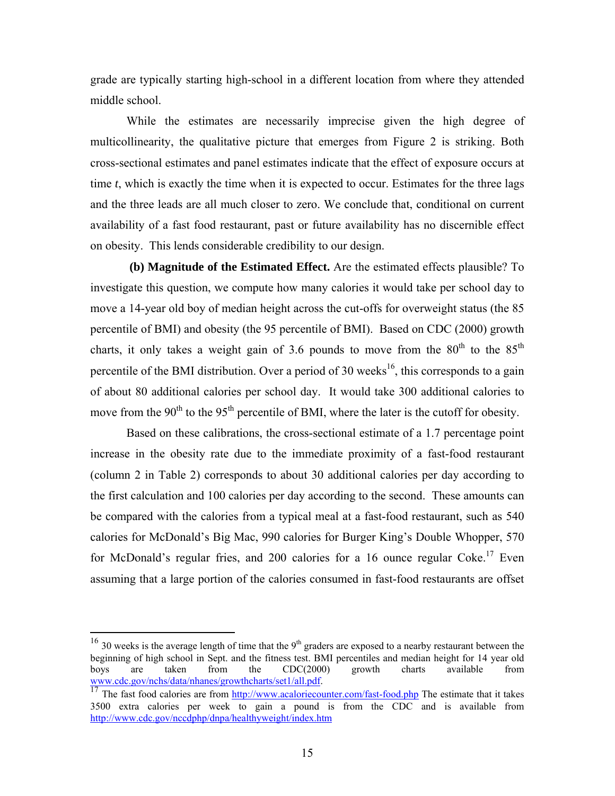grade are typically starting high-school in a different location from where they attended middle school.

While the estimates are necessarily imprecise given the high degree of multicollinearity, the qualitative picture that emerges from Figure 2 is striking. Both cross-sectional estimates and panel estimates indicate that the effect of exposure occurs at time *t*, which is exactly the time when it is expected to occur. Estimates for the three lags and the three leads are all much closer to zero. We conclude that, conditional on current availability of a fast food restaurant, past or future availability has no discernible effect on obesity. This lends considerable credibility to our design.

 **(b) Magnitude of the Estimated Effect.** Are the estimated effects plausible? To investigate this question, we compute how many calories it would take per school day to move a 14-year old boy of median height across the cut-offs for overweight status (the 85 percentile of BMI) and obesity (the 95 percentile of BMI). Based on CDC (2000) growth charts, it only takes a weight gain of 3.6 pounds to move from the  $80^{th}$  to the  $85^{th}$ percentile of the BMI distribution. Over a period of 30 weeks<sup>16</sup>, this corresponds to a gain of about 80 additional calories per school day. It would take 300 additional calories to move from the  $90<sup>th</sup>$  to the  $95<sup>th</sup>$  percentile of BMI, where the later is the cutoff for obesity.

Based on these calibrations, the cross-sectional estimate of a 1.7 percentage point increase in the obesity rate due to the immediate proximity of a fast-food restaurant (column 2 in Table 2) corresponds to about 30 additional calories per day according to the first calculation and 100 calories per day according to the second. These amounts can be compared with the calories from a typical meal at a fast-food restaurant, such as 540 calories for McDonald's Big Mac, 990 calories for Burger King's Double Whopper, 570 for McDonald's regular fries, and 200 calories for a 16 ounce regular Coke.<sup>17</sup> Even assuming that a large portion of the calories consumed in fast-food restaurants are offset

<u>.</u>

 $16$  30 weeks is the average length of time that the 9<sup>th</sup> graders are exposed to a nearby restaurant between the beginning of high school in Sept. and the fitness test. BMI percentiles and median height for 14 year old boys are taken from the CDC(2000) growth charts available from www.cdc.gov/nchs/data/nhanes/growthcharts/set1/all.pdf.

The fast food calories are from http://www.acaloriecounter.com/fast-food.php The estimate that it takes 3500 extra calories per week to gain a pound is from the CDC and is available from http://www.cdc.gov/nccdphp/dnpa/healthyweight/index.htm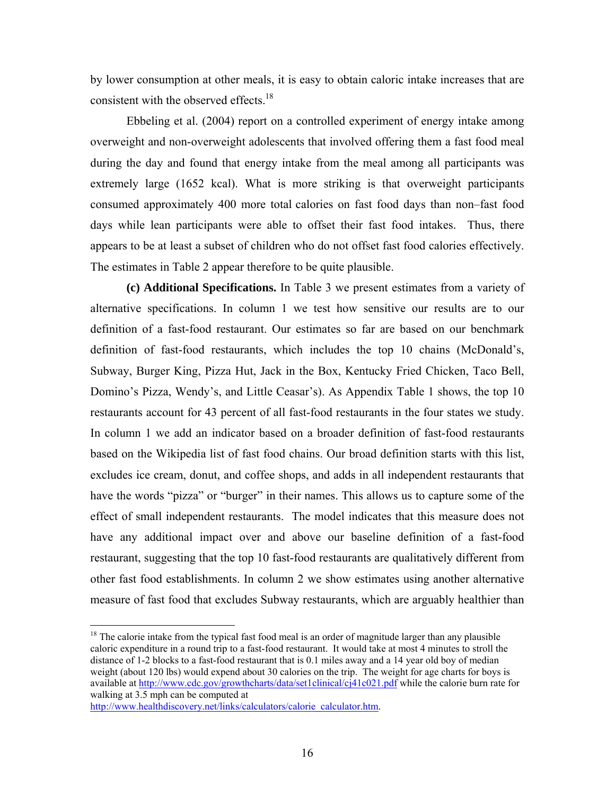by lower consumption at other meals, it is easy to obtain caloric intake increases that are consistent with the observed effects.<sup>18</sup>

Ebbeling et al. (2004) report on a controlled experiment of energy intake among overweight and non-overweight adolescents that involved offering them a fast food meal during the day and found that energy intake from the meal among all participants was extremely large (1652 kcal). What is more striking is that overweight participants consumed approximately 400 more total calories on fast food days than non–fast food days while lean participants were able to offset their fast food intakes. Thus, there appears to be at least a subset of children who do not offset fast food calories effectively. The estimates in Table 2 appear therefore to be quite plausible.

**(c) Additional Specifications.** In Table 3 we present estimates from a variety of alternative specifications. In column 1 we test how sensitive our results are to our definition of a fast-food restaurant. Our estimates so far are based on our benchmark definition of fast-food restaurants, which includes the top 10 chains (McDonald's, Subway, Burger King, Pizza Hut, Jack in the Box, Kentucky Fried Chicken, Taco Bell, Domino's Pizza, Wendy's, and Little Ceasar's). As Appendix Table 1 shows, the top 10 restaurants account for 43 percent of all fast-food restaurants in the four states we study. In column 1 we add an indicator based on a broader definition of fast-food restaurants based on the Wikipedia list of fast food chains. Our broad definition starts with this list, excludes ice cream, donut, and coffee shops, and adds in all independent restaurants that have the words "pizza" or "burger" in their names. This allows us to capture some of the effect of small independent restaurants. The model indicates that this measure does not have any additional impact over and above our baseline definition of a fast-food restaurant, suggesting that the top 10 fast-food restaurants are qualitatively different from other fast food establishments. In column 2 we show estimates using another alternative measure of fast food that excludes Subway restaurants, which are arguably healthier than

1

<sup>&</sup>lt;sup>18</sup> The calorie intake from the typical fast food meal is an order of magnitude larger than any plausible caloric expenditure in a round trip to a fast-food restaurant. It would take at most 4 minutes to stroll the distance of 1-2 blocks to a fast-food restaurant that is 0.1 miles away and a 14 year old boy of median weight (about 120 lbs) would expend about 30 calories on the trip. The weight for age charts for boys is available at http://www.cdc.gov/growthcharts/data/set1clinical/cj41c021.pdf while the calorie burn rate for walking at 3.5 mph can be computed at

http://www.healthdiscovery.net/links/calculators/calorie\_calculator.htm.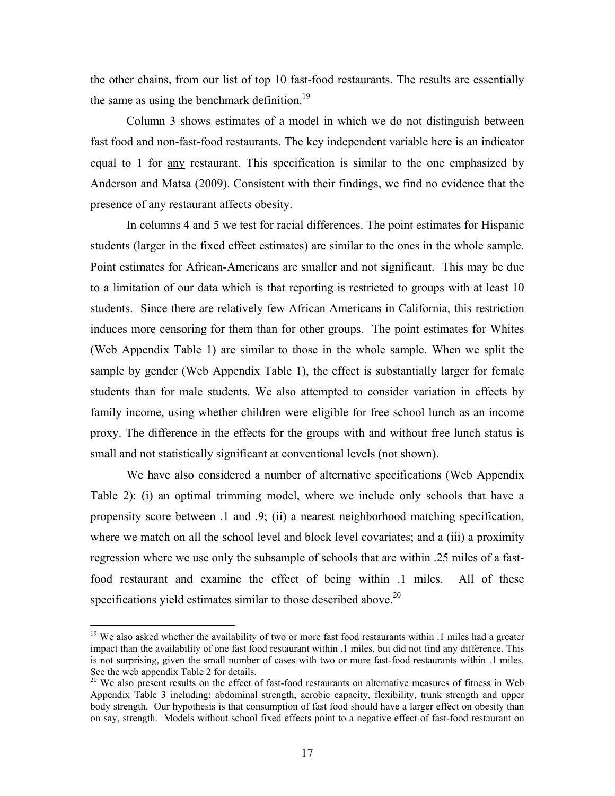the other chains, from our list of top 10 fast-food restaurants. The results are essentially the same as using the benchmark definition.<sup>19</sup>

Column 3 shows estimates of a model in which we do not distinguish between fast food and non-fast-food restaurants. The key independent variable here is an indicator equal to 1 for any restaurant. This specification is similar to the one emphasized by Anderson and Matsa (2009). Consistent with their findings, we find no evidence that the presence of any restaurant affects obesity.

In columns 4 and 5 we test for racial differences. The point estimates for Hispanic students (larger in the fixed effect estimates) are similar to the ones in the whole sample. Point estimates for African-Americans are smaller and not significant. This may be due to a limitation of our data which is that reporting is restricted to groups with at least 10 students. Since there are relatively few African Americans in California, this restriction induces more censoring for them than for other groups. The point estimates for Whites (Web Appendix Table 1) are similar to those in the whole sample. When we split the sample by gender (Web Appendix Table 1), the effect is substantially larger for female students than for male students. We also attempted to consider variation in effects by family income, using whether children were eligible for free school lunch as an income proxy. The difference in the effects for the groups with and without free lunch status is small and not statistically significant at conventional levels (not shown).

We have also considered a number of alternative specifications (Web Appendix Table 2): (i) an optimal trimming model, where we include only schools that have a propensity score between .1 and .9; (ii) a nearest neighborhood matching specification, where we match on all the school level and block level covariates; and a (iii) a proximity regression where we use only the subsample of schools that are within .25 miles of a fastfood restaurant and examine the effect of being within .1 miles. All of these specifications yield estimates similar to those described above.<sup>20</sup>

 $\overline{a}$ 

<sup>&</sup>lt;sup>19</sup> We also asked whether the availability of two or more fast food restaurants within .1 miles had a greater impact than the availability of one fast food restaurant within .1 miles, but did not find any difference. This is not surprising, given the small number of cases with two or more fast-food restaurants within .1 miles. See the web appendix Table 2 for details.

<sup>&</sup>lt;sup>20</sup> We also present results on the effect of fast-food restaurants on alternative measures of fitness in Web Appendix Table 3 including: abdominal strength, aerobic capacity, flexibility, trunk strength and upper body strength. Our hypothesis is that consumption of fast food should have a larger effect on obesity than on say, strength. Models without school fixed effects point to a negative effect of fast-food restaurant on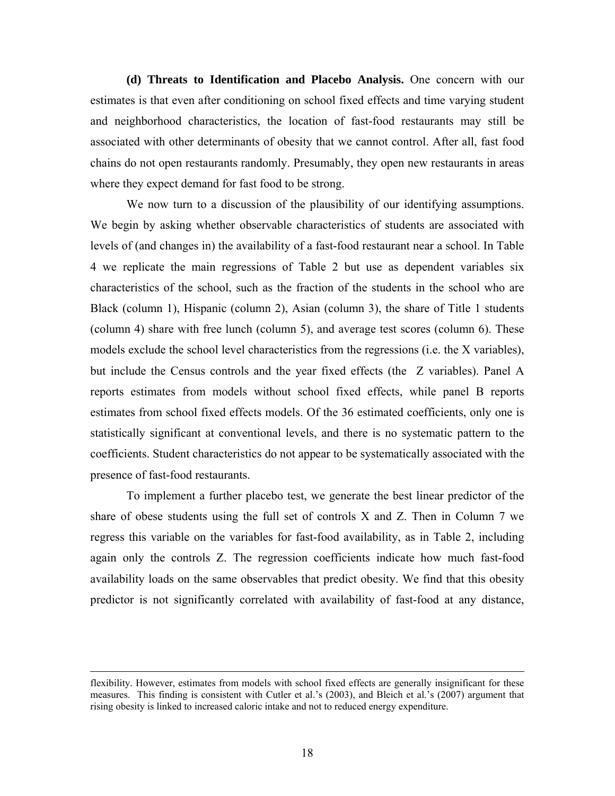**(d) Threats to Identification and Placebo Analysis.** One concern with our estimates is that even after conditioning on school fixed effects and time varying student and neighborhood characteristics, the location of fast-food restaurants may still be associated with other determinants of obesity that we cannot control. After all, fast food chains do not open restaurants randomly. Presumably, they open new restaurants in areas where they expect demand for fast food to be strong.

We now turn to a discussion of the plausibility of our identifying assumptions. We begin by asking whether observable characteristics of students are associated with levels of (and changes in) the availability of a fast-food restaurant near a school. In Table 4 we replicate the main regressions of Table 2 but use as dependent variables six characteristics of the school, such as the fraction of the students in the school who are Black (column 1), Hispanic (column 2), Asian (column 3), the share of Title 1 students (column 4) share with free lunch (column 5), and average test scores (column 6). These models exclude the school level characteristics from the regressions (i.e. the X variables), but include the Census controls and the year fixed effects (the Z variables). Panel A reports estimates from models without school fixed effects, while panel B reports estimates from school fixed effects models. Of the 36 estimated coefficients, only one is statistically significant at conventional levels, and there is no systematic pattern to the coefficients. Student characteristics do not appear to be systematically associated with the presence of fast-food restaurants.

To implement a further placebo test, we generate the best linear predictor of the share of obese students using the full set of controls X and Z. Then in Column 7 we regress this variable on the variables for fast-food availability, as in Table 2, including again only the controls Z. The regression coefficients indicate how much fast-food availability loads on the same observables that predict obesity. We find that this obesity predictor is not significantly correlated with availability of fast-food at any distance,

flexibility. However, estimates from models with school fixed effects are generally insignificant for these measures. This finding is consistent with Cutler et al.'s (2003), and Bleich et al.'s (2007) argument that rising obesity is linked to increased caloric intake and not to reduced energy expenditure.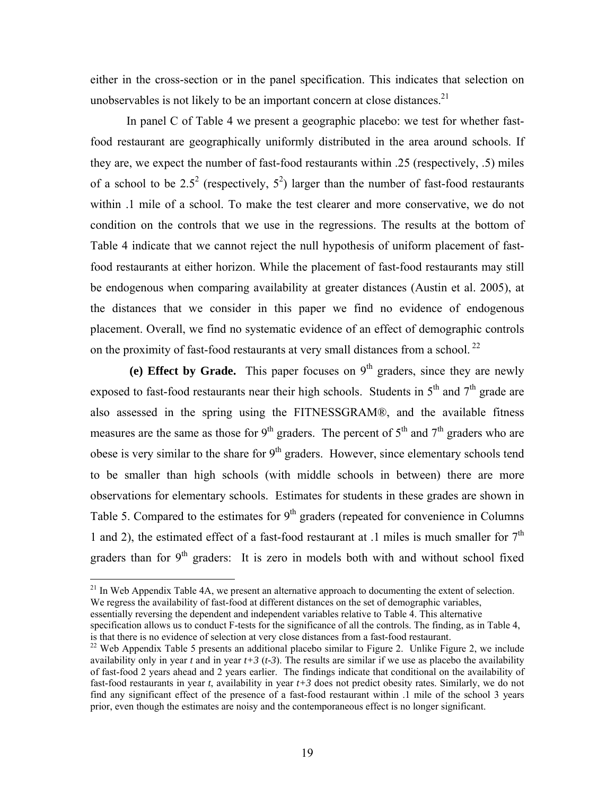either in the cross-section or in the panel specification. This indicates that selection on unobservables is not likely to be an important concern at close distances.<sup>21</sup>

In panel C of Table 4 we present a geographic placebo: we test for whether fastfood restaurant are geographically uniformly distributed in the area around schools. If they are, we expect the number of fast-food restaurants within .25 (respectively, .5) miles of a school to be 2.5<sup>2</sup> (respectively,  $5^2$ ) larger than the number of fast-food restaurants within .1 mile of a school. To make the test clearer and more conservative, we do not condition on the controls that we use in the regressions. The results at the bottom of Table 4 indicate that we cannot reject the null hypothesis of uniform placement of fastfood restaurants at either horizon. While the placement of fast-food restaurants may still be endogenous when comparing availability at greater distances (Austin et al. 2005), at the distances that we consider in this paper we find no evidence of endogenous placement. Overall, we find no systematic evidence of an effect of demographic controls on the proximity of fast-food restaurants at very small distances from a school.  $^{22}$ 

**(e) Effect by Grade.** This paper focuses on  $9<sup>th</sup>$  graders, since they are newly exposed to fast-food restaurants near their high schools. Students in  $5<sup>th</sup>$  and  $7<sup>th</sup>$  grade are also assessed in the spring using the FITNESSGRAM®, and the available fitness measures are the same as those for  $9<sup>th</sup>$  graders. The percent of  $5<sup>th</sup>$  and  $7<sup>th</sup>$  graders who are obese is very similar to the share for  $9<sup>th</sup>$  graders. However, since elementary schools tend to be smaller than high schools (with middle schools in between) there are more observations for elementary schools. Estimates for students in these grades are shown in Table 5. Compared to the estimates for  $9<sup>th</sup>$  graders (repeated for convenience in Columns 1 and 2), the estimated effect of a fast-food restaurant at  $.1$  miles is much smaller for  $7<sup>th</sup>$ graders than for  $9<sup>th</sup>$  graders: It is zero in models both with and without school fixed

 $^{21}$  In Web Appendix Table 4A, we present an alternative approach to documenting the extent of selection. We regress the availability of fast-food at different distances on the set of demographic variables, essentially reversing the dependent and independent variables relative to Table 4. This alternative

 $\overline{a}$ 

specification allows us to conduct F-tests for the significance of all the controls. The finding, as in Table 4, is that there is no evidence of selection at very close distances from a fast-food restaurant.<br><sup>22</sup> Web Appendix Table 5 presents an additional placebo similar to Figure 2. Unlike Figure 2, we include

availability only in year *t* and in year  $t+3$  ( $t-3$ ). The results are similar if we use as placebo the availability of fast-food 2 years ahead and 2 years earlier. The findings indicate that conditional on the availability of fast-food restaurants in year *t*, availability in year *t+3* does not predict obesity rates. Similarly, we do not find any significant effect of the presence of a fast-food restaurant within .1 mile of the school 3 years prior, even though the estimates are noisy and the contemporaneous effect is no longer significant.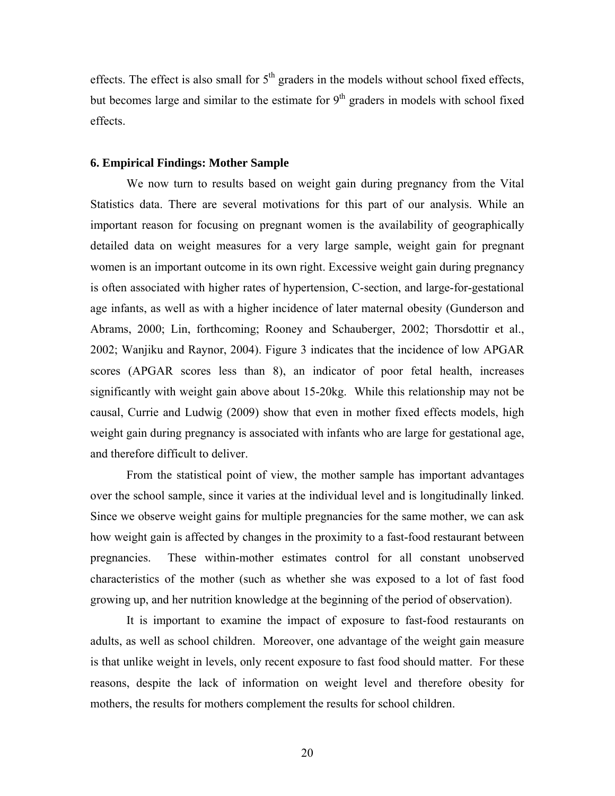effects. The effect is also small for  $5<sup>th</sup>$  graders in the models without school fixed effects, but becomes large and similar to the estimate for  $9<sup>th</sup>$  graders in models with school fixed effects.

### **6. Empirical Findings: Mother Sample**

We now turn to results based on weight gain during pregnancy from the Vital Statistics data. There are several motivations for this part of our analysis. While an important reason for focusing on pregnant women is the availability of geographically detailed data on weight measures for a very large sample, weight gain for pregnant women is an important outcome in its own right. Excessive weight gain during pregnancy is often associated with higher rates of hypertension, C-section, and large-for-gestational age infants, as well as with a higher incidence of later maternal obesity (Gunderson and Abrams, 2000; Lin, forthcoming; Rooney and Schauberger, 2002; Thorsdottir et al., 2002; Wanjiku and Raynor, 2004). Figure 3 indicates that the incidence of low APGAR scores (APGAR scores less than 8), an indicator of poor fetal health, increases significantly with weight gain above about 15-20kg. While this relationship may not be causal, Currie and Ludwig (2009) show that even in mother fixed effects models, high weight gain during pregnancy is associated with infants who are large for gestational age, and therefore difficult to deliver.

From the statistical point of view, the mother sample has important advantages over the school sample, since it varies at the individual level and is longitudinally linked. Since we observe weight gains for multiple pregnancies for the same mother, we can ask how weight gain is affected by changes in the proximity to a fast-food restaurant between pregnancies. These within-mother estimates control for all constant unobserved characteristics of the mother (such as whether she was exposed to a lot of fast food growing up, and her nutrition knowledge at the beginning of the period of observation).

It is important to examine the impact of exposure to fast-food restaurants on adults, as well as school children. Moreover, one advantage of the weight gain measure is that unlike weight in levels, only recent exposure to fast food should matter. For these reasons, despite the lack of information on weight level and therefore obesity for mothers, the results for mothers complement the results for school children.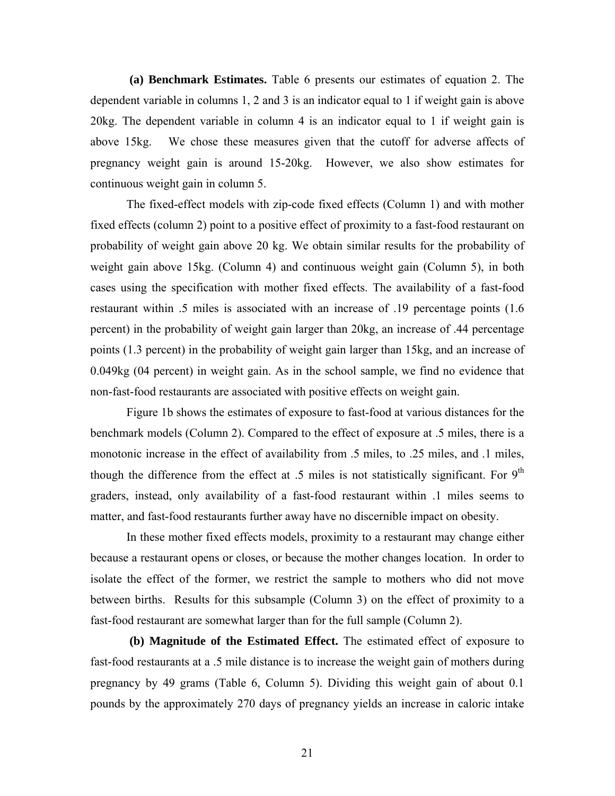**(a) Benchmark Estimates.** Table 6 presents our estimates of equation 2. The dependent variable in columns 1, 2 and 3 is an indicator equal to 1 if weight gain is above 20kg. The dependent variable in column 4 is an indicator equal to 1 if weight gain is above 15kg. We chose these measures given that the cutoff for adverse affects of pregnancy weight gain is around 15-20kg. However, we also show estimates for continuous weight gain in column 5.

The fixed-effect models with zip-code fixed effects (Column 1) and with mother fixed effects (column 2) point to a positive effect of proximity to a fast-food restaurant on probability of weight gain above 20 kg. We obtain similar results for the probability of weight gain above 15kg. (Column 4) and continuous weight gain (Column 5), in both cases using the specification with mother fixed effects. The availability of a fast-food restaurant within .5 miles is associated with an increase of .19 percentage points (1.6 percent) in the probability of weight gain larger than 20kg, an increase of .44 percentage points (1.3 percent) in the probability of weight gain larger than 15kg, and an increase of 0.049kg (04 percent) in weight gain. As in the school sample, we find no evidence that non-fast-food restaurants are associated with positive effects on weight gain.

Figure 1b shows the estimates of exposure to fast-food at various distances for the benchmark models (Column 2). Compared to the effect of exposure at .5 miles, there is a monotonic increase in the effect of availability from .5 miles, to .25 miles, and .1 miles, though the difference from the effect at .5 miles is not statistically significant. For  $9<sup>th</sup>$ graders, instead, only availability of a fast-food restaurant within .1 miles seems to matter, and fast-food restaurants further away have no discernible impact on obesity.

In these mother fixed effects models, proximity to a restaurant may change either because a restaurant opens or closes, or because the mother changes location. In order to isolate the effect of the former, we restrict the sample to mothers who did not move between births. Results for this subsample (Column 3) on the effect of proximity to a fast-food restaurant are somewhat larger than for the full sample (Column 2).

 **(b) Magnitude of the Estimated Effect.** The estimated effect of exposure to fast-food restaurants at a .5 mile distance is to increase the weight gain of mothers during pregnancy by 49 grams (Table 6, Column 5). Dividing this weight gain of about 0.1 pounds by the approximately 270 days of pregnancy yields an increase in caloric intake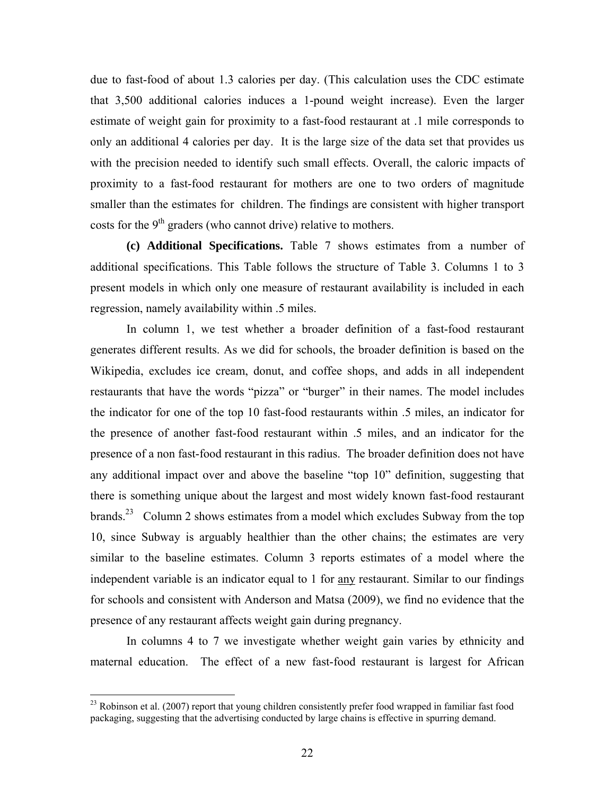due to fast-food of about 1.3 calories per day. (This calculation uses the CDC estimate that 3,500 additional calories induces a 1-pound weight increase). Even the larger estimate of weight gain for proximity to a fast-food restaurant at .1 mile corresponds to only an additional 4 calories per day. It is the large size of the data set that provides us with the precision needed to identify such small effects. Overall, the caloric impacts of proximity to a fast-food restaurant for mothers are one to two orders of magnitude smaller than the estimates for children. The findings are consistent with higher transport costs for the  $9<sup>th</sup>$  graders (who cannot drive) relative to mothers.

**(c) Additional Specifications.** Table 7 shows estimates from a number of additional specifications. This Table follows the structure of Table 3. Columns 1 to 3 present models in which only one measure of restaurant availability is included in each regression, namely availability within .5 miles.

In column 1, we test whether a broader definition of a fast-food restaurant generates different results. As we did for schools, the broader definition is based on the Wikipedia, excludes ice cream, donut, and coffee shops, and adds in all independent restaurants that have the words "pizza" or "burger" in their names. The model includes the indicator for one of the top 10 fast-food restaurants within .5 miles, an indicator for the presence of another fast-food restaurant within .5 miles, and an indicator for the presence of a non fast-food restaurant in this radius. The broader definition does not have any additional impact over and above the baseline "top 10" definition, suggesting that there is something unique about the largest and most widely known fast-food restaurant brands.<sup>23</sup> Column 2 shows estimates from a model which excludes Subway from the top 10, since Subway is arguably healthier than the other chains; the estimates are very similar to the baseline estimates. Column 3 reports estimates of a model where the independent variable is an indicator equal to 1 for any restaurant. Similar to our findings for schools and consistent with Anderson and Matsa (2009), we find no evidence that the presence of any restaurant affects weight gain during pregnancy.

In columns 4 to 7 we investigate whether weight gain varies by ethnicity and maternal education. The effect of a new fast-food restaurant is largest for African

1

<sup>&</sup>lt;sup>23</sup> Robinson et al. (2007) report that young children consistently prefer food wrapped in familiar fast food packaging, suggesting that the advertising conducted by large chains is effective in spurring demand.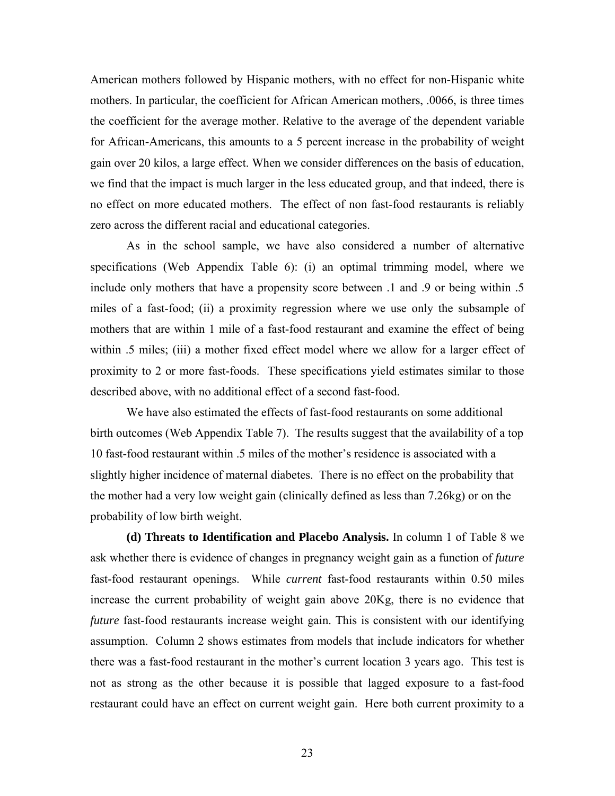American mothers followed by Hispanic mothers, with no effect for non-Hispanic white mothers. In particular, the coefficient for African American mothers, .0066, is three times the coefficient for the average mother. Relative to the average of the dependent variable for African-Americans, this amounts to a 5 percent increase in the probability of weight gain over 20 kilos, a large effect. When we consider differences on the basis of education, we find that the impact is much larger in the less educated group, and that indeed, there is no effect on more educated mothers. The effect of non fast-food restaurants is reliably zero across the different racial and educational categories.

As in the school sample, we have also considered a number of alternative specifications (Web Appendix Table 6): (i) an optimal trimming model, where we include only mothers that have a propensity score between .1 and .9 or being within .5 miles of a fast-food; (ii) a proximity regression where we use only the subsample of mothers that are within 1 mile of a fast-food restaurant and examine the effect of being within .5 miles; (iii) a mother fixed effect model where we allow for a larger effect of proximity to 2 or more fast-foods. These specifications yield estimates similar to those described above, with no additional effect of a second fast-food.

We have also estimated the effects of fast-food restaurants on some additional birth outcomes (Web Appendix Table 7). The results suggest that the availability of a top 10 fast-food restaurant within .5 miles of the mother's residence is associated with a slightly higher incidence of maternal diabetes. There is no effect on the probability that the mother had a very low weight gain (clinically defined as less than 7.26kg) or on the probability of low birth weight.

**(d) Threats to Identification and Placebo Analysis.** In column 1 of Table 8 we ask whether there is evidence of changes in pregnancy weight gain as a function of *future* fast-food restaurant openings. While *current* fast-food restaurants within 0.50 miles increase the current probability of weight gain above 20Kg, there is no evidence that *future* fast-food restaurants increase weight gain. This is consistent with our identifying assumption. Column 2 shows estimates from models that include indicators for whether there was a fast-food restaurant in the mother's current location 3 years ago. This test is not as strong as the other because it is possible that lagged exposure to a fast-food restaurant could have an effect on current weight gain. Here both current proximity to a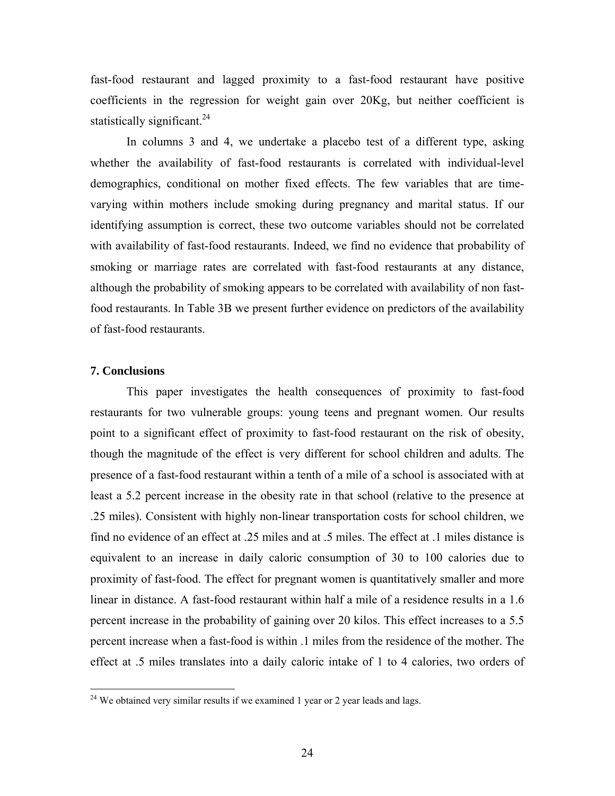fast-food restaurant and lagged proximity to a fast-food restaurant have positive coefficients in the regression for weight gain over 20Kg, but neither coefficient is statistically significant.<sup>24</sup>

In columns 3 and 4, we undertake a placebo test of a different type, asking whether the availability of fast-food restaurants is correlated with individual-level demographics, conditional on mother fixed effects. The few variables that are timevarying within mothers include smoking during pregnancy and marital status. If our identifying assumption is correct, these two outcome variables should not be correlated with availability of fast-food restaurants. Indeed, we find no evidence that probability of smoking or marriage rates are correlated with fast-food restaurants at any distance, although the probability of smoking appears to be correlated with availability of non fastfood restaurants. In Table 3B we present further evidence on predictors of the availability of fast-food restaurants.

# **7. Conclusions**

 $\overline{a}$ 

This paper investigates the health consequences of proximity to fast-food restaurants for two vulnerable groups: young teens and pregnant women. Our results point to a significant effect of proximity to fast-food restaurant on the risk of obesity, though the magnitude of the effect is very different for school children and adults. The presence of a fast-food restaurant within a tenth of a mile of a school is associated with at least a 5.2 percent increase in the obesity rate in that school (relative to the presence at .25 miles). Consistent with highly non-linear transportation costs for school children, we find no evidence of an effect at .25 miles and at .5 miles. The effect at .1 miles distance is equivalent to an increase in daily caloric consumption of 30 to 100 calories due to proximity of fast-food. The effect for pregnant women is quantitatively smaller and more linear in distance. A fast-food restaurant within half a mile of a residence results in a 1.6 percent increase in the probability of gaining over 20 kilos. This effect increases to a 5.5 percent increase when a fast-food is within .1 miles from the residence of the mother. The effect at .5 miles translates into a daily caloric intake of 1 to 4 calories, two orders of

 $24$  We obtained very similar results if we examined 1 year or 2 year leads and lags.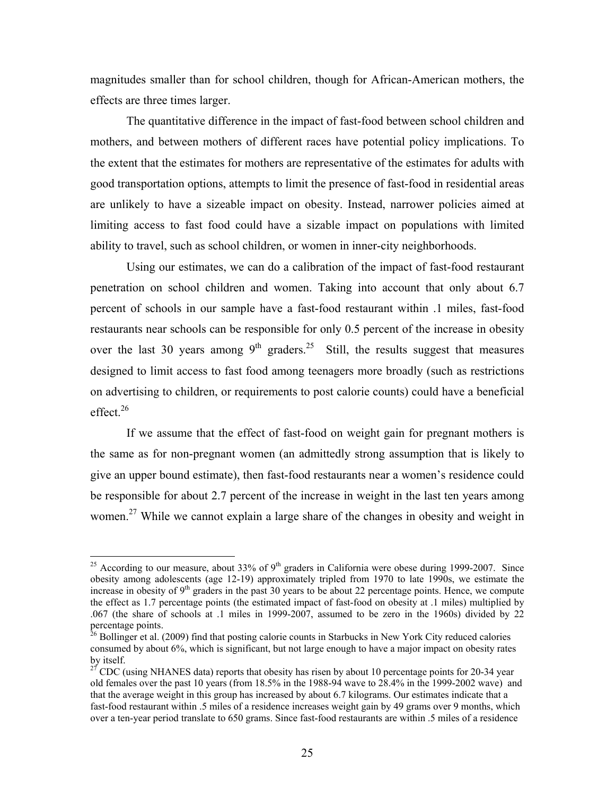magnitudes smaller than for school children, though for African-American mothers, the effects are three times larger.

The quantitative difference in the impact of fast-food between school children and mothers, and between mothers of different races have potential policy implications. To the extent that the estimates for mothers are representative of the estimates for adults with good transportation options, attempts to limit the presence of fast-food in residential areas are unlikely to have a sizeable impact on obesity. Instead, narrower policies aimed at limiting access to fast food could have a sizable impact on populations with limited ability to travel, such as school children, or women in inner-city neighborhoods.

Using our estimates, we can do a calibration of the impact of fast-food restaurant penetration on school children and women. Taking into account that only about 6.7 percent of schools in our sample have a fast-food restaurant within .1 miles, fast-food restaurants near schools can be responsible for only 0.5 percent of the increase in obesity over the last 30 years among  $9<sup>th</sup>$  graders.<sup>25</sup> Still, the results suggest that measures designed to limit access to fast food among teenagers more broadly (such as restrictions on advertising to children, or requirements to post calorie counts) could have a beneficial effect $^{26}$ 

If we assume that the effect of fast-food on weight gain for pregnant mothers is the same as for non-pregnant women (an admittedly strong assumption that is likely to give an upper bound estimate), then fast-food restaurants near a women's residence could be responsible for about 2.7 percent of the increase in weight in the last ten years among women.<sup>27</sup> While we cannot explain a large share of the changes in obesity and weight in

 $\overline{a}$ 

<sup>&</sup>lt;sup>25</sup> According to our measure, about 33% of 9<sup>th</sup> graders in California were obese during 1999-2007. Since obesity among adolescents (age 12-19) approximately tripled from 1970 to late 1990s, we estimate the increase in obesity of 9<sup>th</sup> graders in the past 30 years to be about 22 percentage points. Hence, we compute the effect as 1.7 percentage points (the estimated impact of fast-food on obesity at .1 miles) multiplied by .067 (the share of schools at .1 miles in 1999-2007, assumed to be zero in the 1960s) divided by 22 percentage points.

<sup>&</sup>lt;sup>26</sup> Bollinger et al. (2009) find that posting calorie counts in Starbucks in New York City reduced calories consumed by about 6%, which is significant, but not large enough to have a major impact on obesity rates by itself.

 $2^{7}$  CDC (using NHANES data) reports that obesity has risen by about 10 percentage points for 20-34 year old females over the past 10 years (from 18.5% in the 1988-94 wave to 28.4% in the 1999-2002 wave) and that the average weight in this group has increased by about 6.7 kilograms. Our estimates indicate that a fast-food restaurant within .5 miles of a residence increases weight gain by 49 grams over 9 months, which over a ten-year period translate to 650 grams. Since fast-food restaurants are within .5 miles of a residence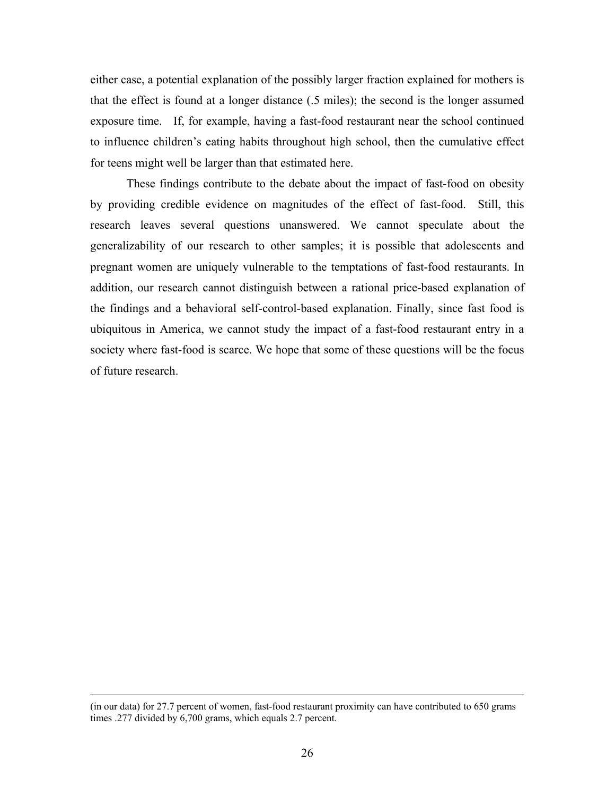either case, a potential explanation of the possibly larger fraction explained for mothers is that the effect is found at a longer distance (.5 miles); the second is the longer assumed exposure time. If, for example, having a fast-food restaurant near the school continued to influence children's eating habits throughout high school, then the cumulative effect for teens might well be larger than that estimated here.

These findings contribute to the debate about the impact of fast-food on obesity by providing credible evidence on magnitudes of the effect of fast-food. Still, this research leaves several questions unanswered. We cannot speculate about the generalizability of our research to other samples; it is possible that adolescents and pregnant women are uniquely vulnerable to the temptations of fast-food restaurants. In addition, our research cannot distinguish between a rational price-based explanation of the findings and a behavioral self-control-based explanation. Finally, since fast food is ubiquitous in America, we cannot study the impact of a fast-food restaurant entry in a society where fast-food is scarce. We hope that some of these questions will be the focus of future research.

 <sup>(</sup>in our data) for 27.7 percent of women, fast-food restaurant proximity can have contributed to 650 grams times .277 divided by 6,700 grams, which equals 2.7 percent.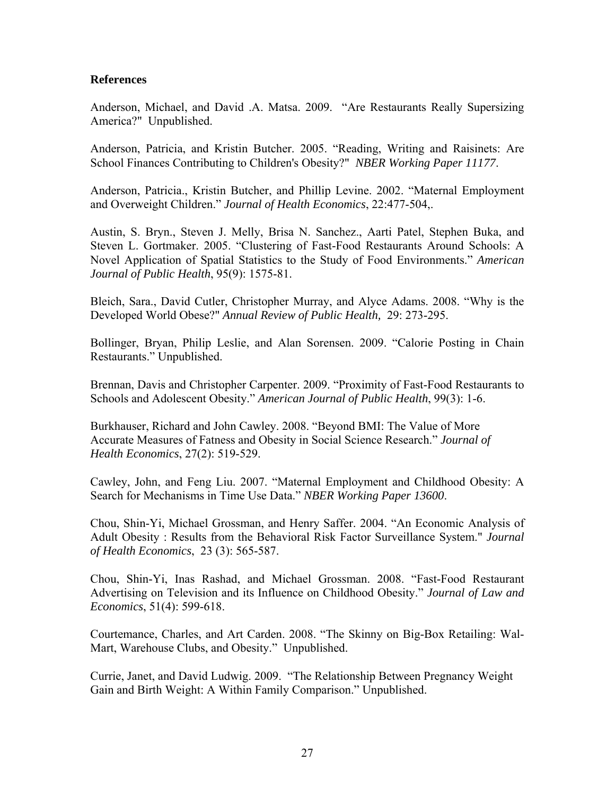# **References**

Anderson, Michael, and David .A. Matsa. 2009. "Are Restaurants Really Supersizing America?" Unpublished.

Anderson, Patricia, and Kristin Butcher. 2005. "Reading, Writing and Raisinets: Are School Finances Contributing to Children's Obesity?" *NBER Working Paper 11177*.

Anderson, Patricia., Kristin Butcher, and Phillip Levine. 2002. "Maternal Employment and Overweight Children." *Journal of Health Economics*, 22:477-504,.

Austin, S. Bryn., Steven J. Melly, Brisa N. Sanchez., Aarti Patel, Stephen Buka, and Steven L. Gortmaker. 2005. "Clustering of Fast-Food Restaurants Around Schools: A Novel Application of Spatial Statistics to the Study of Food Environments." *American Journal of Public Health*, 95(9): 1575-81.

Bleich, Sara., David Cutler, Christopher Murray, and Alyce Adams. 2008. "Why is the Developed World Obese?" *Annual Review of Public Health,* 29: 273-295.

Bollinger, Bryan, Philip Leslie, and Alan Sorensen. 2009. "Calorie Posting in Chain Restaurants." Unpublished.

Brennan, Davis and Christopher Carpenter. 2009. "Proximity of Fast-Food Restaurants to Schools and Adolescent Obesity." *American Journal of Public Health*, 99(3): 1-6.

Burkhauser, Richard and John Cawley. 2008. "Beyond BMI: The Value of More Accurate Measures of Fatness and Obesity in Social Science Research." *Journal of Health Economics*, 27(2): 519-529.

Cawley, John, and Feng Liu. 2007. "Maternal Employment and Childhood Obesity: A Search for Mechanisms in Time Use Data." *NBER Working Paper 13600*.

Chou, Shin-Yi, Michael Grossman, and Henry Saffer. 2004. "An Economic Analysis of Adult Obesity : Results from the Behavioral Risk Factor Surveillance System." *Journal of Health Economics*, 23 (3): 565-587.

Chou, Shin-Yi, Inas Rashad, and Michael Grossman. 2008. "Fast-Food Restaurant Advertising on Television and its Influence on Childhood Obesity." *Journal of Law and Economics*, 51(4): 599-618.

Courtemance, Charles, and Art Carden. 2008. "The Skinny on Big-Box Retailing: Wal-Mart, Warehouse Clubs, and Obesity." Unpublished.

Currie, Janet, and David Ludwig. 2009. "The Relationship Between Pregnancy Weight Gain and Birth Weight: A Within Family Comparison." Unpublished.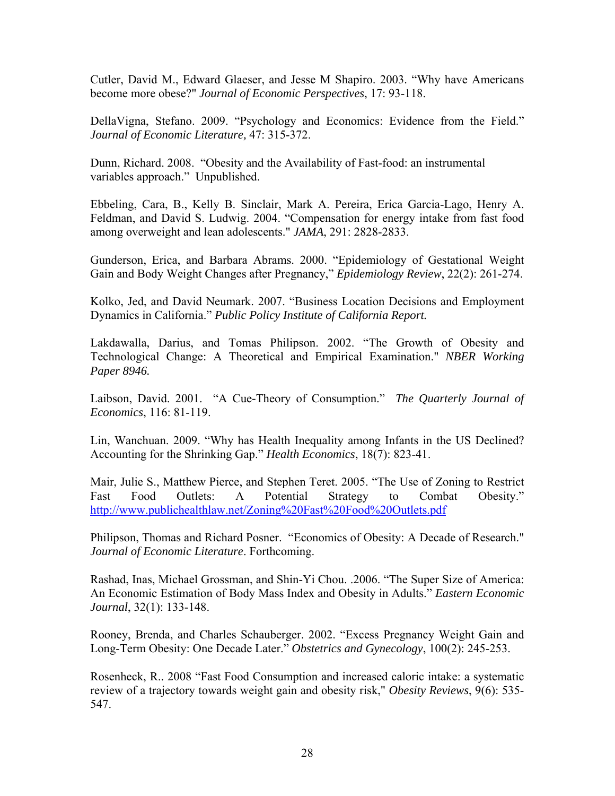Cutler, David M., Edward Glaeser, and Jesse M Shapiro. 2003. "Why have Americans become more obese?" *Journal of Economic Perspectives*, 17: 93-118.

DellaVigna, Stefano. 2009. "Psychology and Economics: Evidence from the Field." *Journal of Economic Literature,* 47: 315-372.

Dunn, Richard. 2008. "Obesity and the Availability of Fast-food: an instrumental variables approach." Unpublished.

Ebbeling, Cara, B., Kelly B. Sinclair, Mark A. Pereira, Erica Garcia-Lago, Henry A. Feldman, and David S. Ludwig. 2004. "Compensation for energy intake from fast food among overweight and lean adolescents." *JAMA*, 291: 2828-2833.

Gunderson, Erica, and Barbara Abrams. 2000. "Epidemiology of Gestational Weight Gain and Body Weight Changes after Pregnancy," *Epidemiology Review*, 22(2): 261-274.

Kolko, Jed, and David Neumark. 2007. "Business Location Decisions and Employment Dynamics in California." *Public Policy Institute of California Report.*

Lakdawalla, Darius, and Tomas Philipson. 2002. "The Growth of Obesity and Technological Change: A Theoretical and Empirical Examination." *NBER Working Paper 8946.* 

Laibson, David. 2001. "A Cue*-*Theory of Consumption." *The Quarterly Journal of Economics*, 116: 81-119.

Lin, Wanchuan. 2009. "Why has Health Inequality among Infants in the US Declined? Accounting for the Shrinking Gap." *Health Economics*, 18(7): 823-41.

Mair, Julie S., Matthew Pierce, and Stephen Teret. 2005. "The Use of Zoning to Restrict Fast Food Outlets: A Potential Strategy to Combat Obesity." http://www.publichealthlaw.net/Zoning%20Fast%20Food%20Outlets.pdf

Philipson, Thomas and Richard Posner. "Economics of Obesity: A Decade of Research." *Journal of Economic Literature*. Forthcoming.

Rashad, Inas, Michael Grossman, and Shin-Yi Chou. .2006. "The Super Size of America: An Economic Estimation of Body Mass Index and Obesity in Adults." *Eastern Economic Journal*, 32(1): 133-148.

Rooney, Brenda, and Charles Schauberger. 2002. "Excess Pregnancy Weight Gain and Long-Term Obesity: One Decade Later." *Obstetrics and Gynecology*, 100(2): 245-253.

Rosenheck, R.. 2008 "Fast Food Consumption and increased caloric intake: a systematic review of a trajectory towards weight gain and obesity risk," *Obesity Reviews*, 9(6): 535- 547.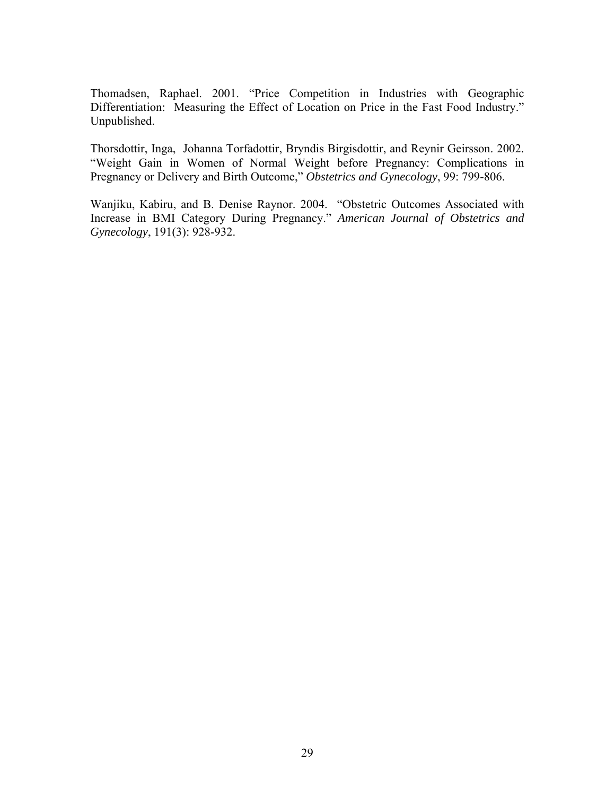Thomadsen, Raphael. 2001. "Price Competition in Industries with Geographic Differentiation: Measuring the Effect of Location on Price in the Fast Food Industry." Unpublished.

Thorsdottir, Inga, Johanna Torfadottir, Bryndis Birgisdottir, and Reynir Geirsson. 2002. "Weight Gain in Women of Normal Weight before Pregnancy: Complications in Pregnancy or Delivery and Birth Outcome," *Obstetrics and Gynecology*, 99: 799-806.

Wanjiku, Kabiru, and B. Denise Raynor. 2004. "Obstetric Outcomes Associated with Increase in BMI Category During Pregnancy." *American Journal of Obstetrics and Gynecology*, 191(3): 928-932.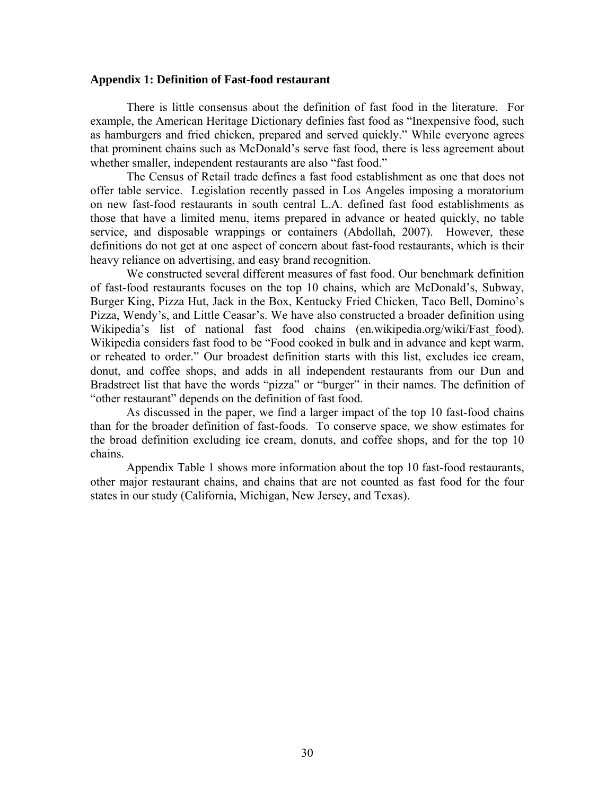#### **Appendix 1: Definition of Fast-food restaurant**

There is little consensus about the definition of fast food in the literature. For example, the American Heritage Dictionary definies fast food as "Inexpensive food, such as hamburgers and fried chicken, prepared and served quickly." While everyone agrees that prominent chains such as McDonald's serve fast food, there is less agreement about whether smaller, independent restaurants are also "fast food."

The Census of Retail trade defines a fast food establishment as one that does not offer table service. Legislation recently passed in Los Angeles imposing a moratorium on new fast-food restaurants in south central L.A. defined fast food establishments as those that have a limited menu, items prepared in advance or heated quickly, no table service, and disposable wrappings or containers (Abdollah, 2007). However, these definitions do not get at one aspect of concern about fast-food restaurants, which is their heavy reliance on advertising, and easy brand recognition.

We constructed several different measures of fast food. Our benchmark definition of fast-food restaurants focuses on the top 10 chains, which are McDonald's, Subway, Burger King, Pizza Hut, Jack in the Box, Kentucky Fried Chicken, Taco Bell, Domino's Pizza, Wendy's, and Little Ceasar's. We have also constructed a broader definition using Wikipedia's list of national fast food chains (en.wikipedia.org/wiki/Fast food). Wikipedia considers fast food to be "Food cooked in bulk and in advance and kept warm, or reheated to order." Our broadest definition starts with this list, excludes ice cream, donut, and coffee shops, and adds in all independent restaurants from our Dun and Bradstreet list that have the words "pizza" or "burger" in their names. The definition of "other restaurant" depends on the definition of fast food.

As discussed in the paper, we find a larger impact of the top 10 fast-food chains than for the broader definition of fast-foods. To conserve space, we show estimates for the broad definition excluding ice cream, donuts, and coffee shops, and for the top 10 chains.

Appendix Table 1 shows more information about the top 10 fast-food restaurants, other major restaurant chains, and chains that are not counted as fast food for the four states in our study (California, Michigan, New Jersey, and Texas).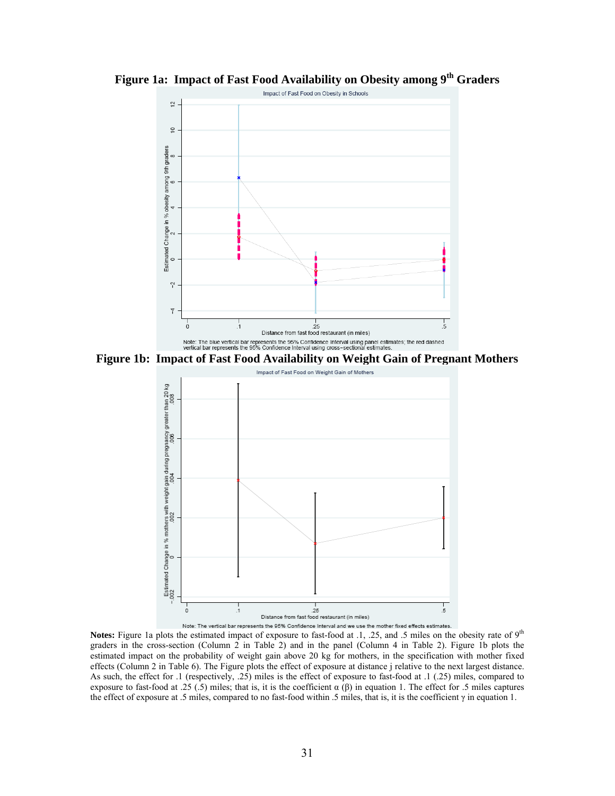

Figure 1a: Impact of Fast Food Availability on Obesity among 9<sup>th</sup> Graders

**Figure 1b: Impact of Fast Food Availability on Weight Gain of Pregnant Mothers** 



Notes: The vertical bar represents the 95% Confidence Interval and we use the mother fixed effects estimates.<br>**Notes:** Figure 1a plots the estimated impact of exposure to fast-food at .1, .25, and .5 miles on the obesity r graders in the cross-section (Column 2 in Table 2) and in the panel (Column 4 in Table 2). Figure 1b plots the estimated impact on the probability of weight gain above 20 kg for mothers, in the specification with mother fixed effects (Column 2 in Table 6). The Figure plots the effect of exposure at distance j relative to the next largest distance. As such, the effect for .1 (respectively, .25) miles is the effect of exposure to fast-food at .1 (.25) miles, compared to exposure to fast-food at .25 (.5) miles; that is, it is the coefficient  $\alpha$  (β) in equation 1. The effect for .5 miles captures the effect of exposure at .5 miles, compared to no fast-food within .5 miles, that is, it is the coefficient  $\gamma$  in equation 1.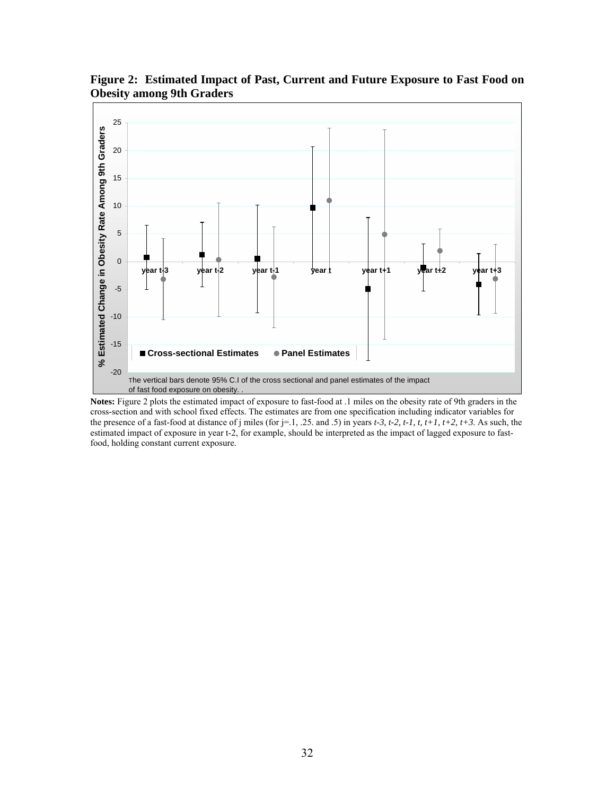

**Figure 2: Estimated Impact of Past, Current and Future Exposure to Fast Food on Obesity among 9th Graders**

**Notes:** Figure 2 plots the estimated impact of exposure to fast-food at .1 miles on the obesity rate of 9th graders in the cross-section and with school fixed effects. The estimates are from one specification including indicator variables for the presence of a fast-food at distance of j miles (for  $j=1, 25$ , and  $(5)$ ) in years  $t-3$ ,  $t-2$ ,  $t-1$ ,  $t$ ,  $t+1$ ,  $t+2$ ,  $t+3$ . As such, the estimated impact of exposure in year t-2, for example, should be interpreted as the impact of lagged exposure to fastfood, holding constant current exposure.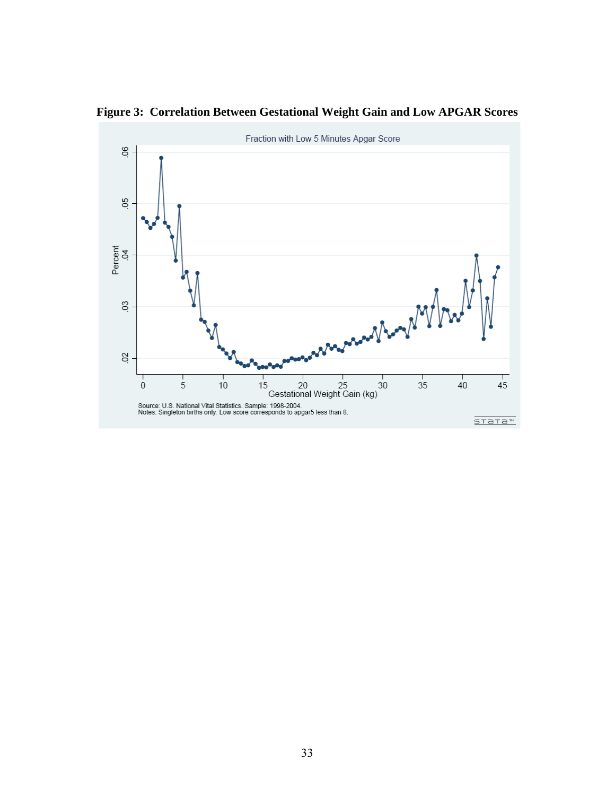**Figure 3: Correlation Between Gestational Weight Gain and Low APGAR Scores** 

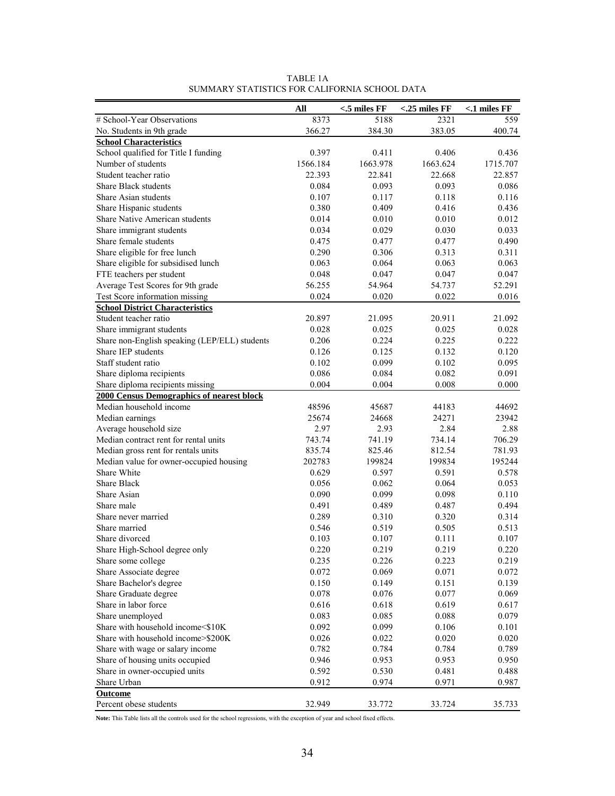|                                               | All      | $<$ 5 miles FF | $<$ .25 miles FF | $<$ .1 miles FF |
|-----------------------------------------------|----------|----------------|------------------|-----------------|
| # School-Year Observations                    | 8373     | 5188           | 2321             | 559             |
| No. Students in 9th grade                     | 366.27   | 384.30         | 383.05           | 400.74          |
| <b>School Characteristics</b>                 |          |                |                  |                 |
| School qualified for Title I funding          | 0.397    | 0.411          | 0.406            | 0.436           |
| Number of students                            | 1566.184 | 1663.978       | 1663.624         | 1715.707        |
| Student teacher ratio                         | 22.393   | 22.841         | 22.668           | 22.857          |
| Share Black students                          | 0.084    | 0.093          | 0.093            | 0.086           |
| Share Asian students                          | 0.107    | 0.117          | 0.118            | 0.116           |
| Share Hispanic students                       | 0.380    | 0.409          | 0.416            | 0.436           |
| Share Native American students                | 0.014    | 0.010          | 0.010            | 0.012           |
| Share immigrant students                      | 0.034    | 0.029          | 0.030            | 0.033           |
| Share female students                         | 0.475    | 0.477          | 0.477            | 0.490           |
| Share eligible for free lunch                 | 0.290    | 0.306          | 0.313            | 0.311           |
| Share eligible for subsidised lunch           | 0.063    | 0.064          | 0.063            | 0.063           |
| FTE teachers per student                      | 0.048    | 0.047          | 0.047            | 0.047           |
| Average Test Scores for 9th grade             | 56.255   | 54.964         | 54.737           | 52.291          |
| Test Score information missing                | 0.024    | 0.020          | 0.022            | 0.016           |
| <b>School District Characteristics</b>        |          |                |                  |                 |
| Student teacher ratio                         | 20.897   | 21.095         | 20.911           | 21.092          |
| Share immigrant students                      | 0.028    | 0.025          | 0.025            | 0.028           |
| Share non-English speaking (LEP/ELL) students | 0.206    | 0.224          | 0.225            | 0.222           |
| Share IEP students                            | 0.126    | 0.125          | 0.132            | 0.120           |
| Staff student ratio                           | 0.102    | 0.099          | 0.102            | 0.095           |
| Share diploma recipients                      | 0.086    | 0.084          | 0.082            | 0.091           |
| Share diploma recipients missing              | 0.004    | 0.004          | 0.008            | 0.000           |
| 2000 Census Demographics of nearest block     |          |                |                  |                 |
| Median household income                       | 48596    | 45687          | 44183            | 44692           |
| Median earnings                               | 25674    | 24668          | 24271            | 23942           |
| Average household size                        | 2.97     | 2.93           | 2.84             | 2.88            |
| Median contract rent for rental units         | 743.74   | 741.19         | 734.14           | 706.29          |
| Median gross rent for rentals units           | 835.74   | 825.46         | 812.54           | 781.93          |
| Median value for owner-occupied housing       | 202783   | 199824         | 199834           | 195244          |
| Share White                                   | 0.629    | 0.597          | 0.591            | 0.578           |
| Share Black                                   | 0.056    | 0.062          | 0.064            | 0.053           |
| Share Asian                                   | 0.090    | 0.099          | 0.098            | 0.110           |
| Share male                                    | 0.491    | 0.489          | 0.487            | 0.494           |
| Share never married                           | 0.289    | 0.310          | 0.320            | 0.314           |
| Share married                                 | 0.546    | 0.519          | 0.505            | 0.513           |
| Share divorced                                | 0.103    | 0.107          | 0.111            | 0.107           |
| Share High-School degree only                 | 0.220    | 0.219          | 0.219            | 0.220           |
| Share some college                            | 0.235    | 0.226          | 0.223            | 0.219           |
| Share Associate degree                        | 0.072    | 0.069          | 0.071            | 0.072           |
| Share Bachelor's degree                       | 0.150    | 0.149          | 0.151            | 0.139           |
| Share Graduate degree                         | 0.078    | 0.076          | 0.077            | 0.069           |
| Share in labor force                          | 0.616    | 0.618          | 0.619            | 0.617           |
| Share unemployed                              | 0.083    | 0.085          | 0.088            | 0.079           |
| Share with household income<\$10K             | 0.092    | 0.099          | 0.106            | 0.101           |
| Share with household income>\$200K            | 0.026    | 0.022          | 0.020            | 0.020           |
| Share with wage or salary income              | 0.782    | 0.784          | 0.784            | 0.789           |
| Share of housing units occupied               | 0.946    | 0.953          | 0.953            | 0.950           |
| Share in owner-occupied units                 | 0.592    | 0.530          | 0.481            | 0.488           |
| Share Urban                                   | 0.912    | 0.974          | 0.971            | 0.987           |
| <b>Outcome</b>                                |          |                |                  |                 |
| Percent obese students                        | 32.949   | 33.772         | 33.724           | 35.733          |

TABLE 1A SUMMARY STATISTICS FOR CALIFORNIA SCHOOL DATA

**Note:** This Table lists all the controls used for the school regressions, with the exception of year and school fixed effects.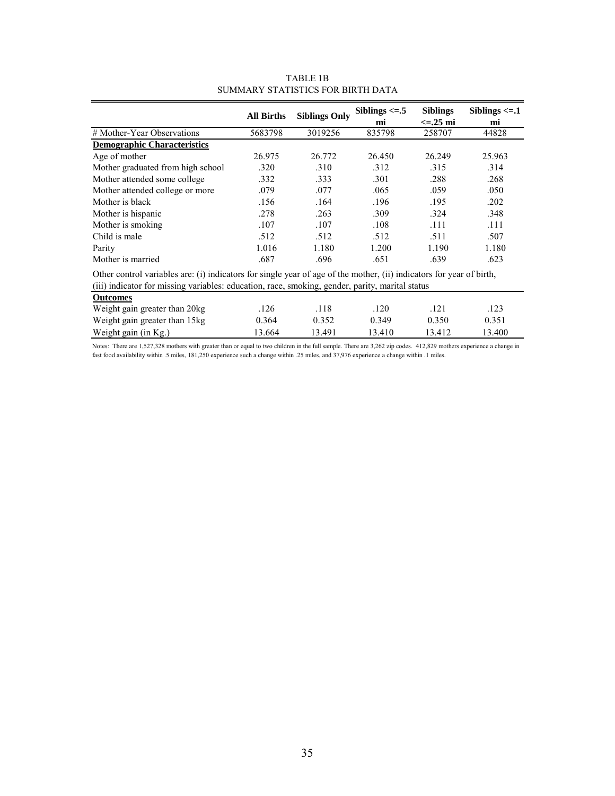|                                                                                                                                                                                                                         | <b>All Births</b> | <b>Siblings Only</b> | Siblings $\leq$ =.5<br>mi | <b>Siblings</b><br>$\leq$ -25 mi | Siblings $\leq$ -1<br>mi |  |  |  |  |
|-------------------------------------------------------------------------------------------------------------------------------------------------------------------------------------------------------------------------|-------------------|----------------------|---------------------------|----------------------------------|--------------------------|--|--|--|--|
| # Mother-Year Observations                                                                                                                                                                                              | 5683798           | 3019256              | 835798                    | 258707                           | 44828                    |  |  |  |  |
| <b>Demographic Characteristics</b>                                                                                                                                                                                      |                   |                      |                           |                                  |                          |  |  |  |  |
| Age of mother                                                                                                                                                                                                           | 26.975            | 26.772               | 26.450                    | 26.249                           | 25.963                   |  |  |  |  |
| Mother graduated from high school                                                                                                                                                                                       | .320              | .310                 | .312                      | .315                             | .314                     |  |  |  |  |
| Mother attended some college                                                                                                                                                                                            | .332              | .333                 | .301                      | .288                             | .268                     |  |  |  |  |
| Mother attended college or more                                                                                                                                                                                         | .079              | .077                 | .065                      | .059                             | .050                     |  |  |  |  |
| Mother is black                                                                                                                                                                                                         | .156              | .164                 | .196                      | .195                             | .202                     |  |  |  |  |
| Mother is hispanic                                                                                                                                                                                                      | .278              | .263                 | .309                      | .324                             | .348                     |  |  |  |  |
| Mother is smoking                                                                                                                                                                                                       | .107              | .107                 | .108                      | .111                             | .111                     |  |  |  |  |
| Child is male                                                                                                                                                                                                           | .512              | .512                 | .512                      | .511                             | .507                     |  |  |  |  |
| Parity                                                                                                                                                                                                                  | 1.016             | 1.180                | 1.200                     | 1.190                            | 1.180                    |  |  |  |  |
| Mother is married                                                                                                                                                                                                       | .687              | .696                 | .651                      | .639                             | .623                     |  |  |  |  |
| Other control variables are: (i) indicators for single year of age of the mother, (ii) indicators for year of birth,<br>(iii) indicator for missing variables: education, race, smoking, gender, parity, marital status |                   |                      |                           |                                  |                          |  |  |  |  |
| <b>Outcomes</b>                                                                                                                                                                                                         |                   |                      |                           |                                  |                          |  |  |  |  |
| Weight gain greater than 20 kg                                                                                                                                                                                          | .126              | .118                 | .120                      | .121                             | .123                     |  |  |  |  |
| Weight gain greater than 15kg                                                                                                                                                                                           | 0.364             | 0.352                | 0.349                     | 0.350                            | 0.351                    |  |  |  |  |
| Weight gain (in $Kg$ )                                                                                                                                                                                                  | 13.664            | 13.491               | 13.410                    | 13.412                           | 13.400                   |  |  |  |  |

TABLE 1B SUMMARY STATISTICS FOR BIRTH DATA

Notes: There are 1,527,328 mothers with greater than or equal to two children in the full sample. There are 3,262 zip codes. 412,829 mothers experience a change in fast food availability within .5 miles, 181,250 experience such a change within .25 miles, and 37,976 experience a change within .1 miles.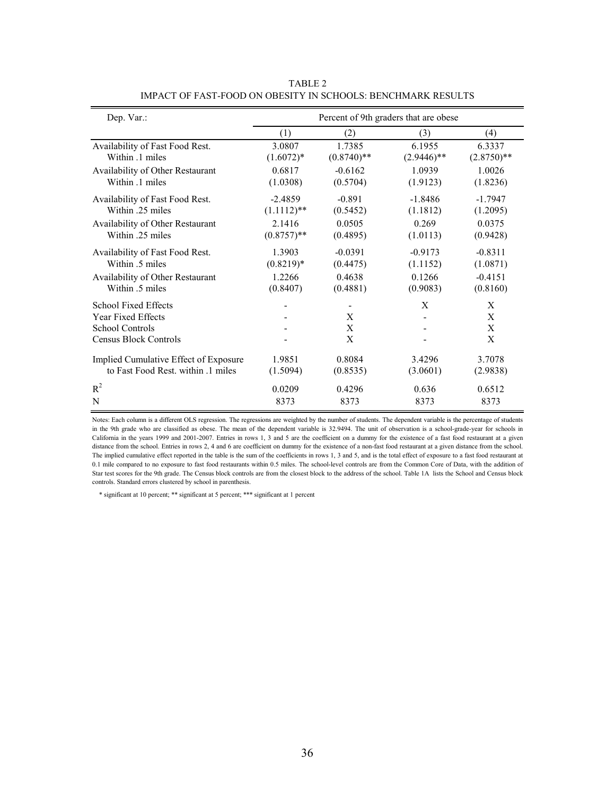| Dep. Var.:                                                                                           | Percent of 9th graders that are obese |               |               |                  |  |  |
|------------------------------------------------------------------------------------------------------|---------------------------------------|---------------|---------------|------------------|--|--|
|                                                                                                      | (1)                                   | (2)           | (3)           | (4)              |  |  |
| Availability of Fast Food Rest.                                                                      | 3.0807                                | 1.7385        | 6.1955        | 6.3337           |  |  |
| Within 1 miles                                                                                       | $(1.6072)*$                           | $(0.8740)$ ** | $(2.9446)$ ** | $(2.8750)$ **    |  |  |
| Availability of Other Restaurant                                                                     | 0.6817                                | $-0.6162$     | 1.0939        | 1.0026           |  |  |
| Within 1 miles                                                                                       | (1.0308)                              | (0.5704)      | (1.9123)      | (1.8236)         |  |  |
| Availability of Fast Food Rest.                                                                      | $-2.4859$                             | $-0.891$      | $-1.8486$     | $-1.7947$        |  |  |
| Within 25 miles                                                                                      | $(1.1112)$ **                         | (0.5452)      | (1.1812)      | (1.2095)         |  |  |
| Availability of Other Restaurant                                                                     | 2.1416                                | 0.0505        | 0.269         | 0.0375           |  |  |
| Within 25 miles                                                                                      | $(0.8757)$ **                         | (0.4895)      | (1.0113)      | (0.9428)         |  |  |
| Availability of Fast Food Rest.                                                                      | 1.3903                                | $-0.0391$     | $-0.9173$     | $-0.8311$        |  |  |
| Within 5 miles                                                                                       | $(0.8219)*$                           | (0.4475)      | (1.1152)      | (1.0871)         |  |  |
| Availability of Other Restaurant                                                                     | 1.2266                                | 0.4638        | 0.1266        | $-0.4151$        |  |  |
| Within .5 miles                                                                                      | (0.8407)                              | (0.4881)      | (0.9083)      | (0.8160)         |  |  |
| <b>School Fixed Effects</b><br><b>Year Fixed Effects</b><br>School Controls<br>Census Block Controls |                                       | X<br>X<br>X   | X             | X<br>X<br>X<br>X |  |  |
| Implied Cumulative Effect of Exposure                                                                | 1.9851                                | 0.8084        | 3.4296        | 3.7078           |  |  |
| to Fast Food Rest. within 1 miles                                                                    | (1.5094)                              | (0.8535)      | (3.0601)      | (2.9838)         |  |  |
| $R^2$                                                                                                | 0.0209                                | 0.4296        | 0.636         | 0.6512           |  |  |
| N                                                                                                    | 8373                                  | 8373          | 8373          | 8373             |  |  |

TABLE 2 IMPACT OF FAST-FOOD ON OBESITY IN SCHOOLS: BENCHMARK RESULTS

Notes: Each column is a different OLS regression. The regressions are weighted by the number of students. The dependent variable is the percentage of students in the 9th grade who are classified as obese. The mean of the dependent variable is 32.9494. The unit of observation is a school-grade-year for schools in California in the years 1999 and 2001-2007. Entries in rows 1, 3 and 5 are the coefficient on a dummy for the existence of a fast food restaurant at a given distance from the school. Entries in rows 2, 4 and 6 are coefficient on dummy for the existence of a non-fast food restaurant at a given distance from the school. The implied cumulative effect reported in the table is the sum of the coefficients in rows 1, 3 and 5, and is the total effect of exposure to a fast food restaurant at 0.1 mile compared to no exposure to fast food restaurants within 0.5 miles. The school-level controls are from the Common Core of Data, with the addition of Star test scores for the 9th grade. The Census block controls are from the closest block to the address of the school. Table 1A lists the School and Census block controls. Standard errors clustered by school in parenthesis.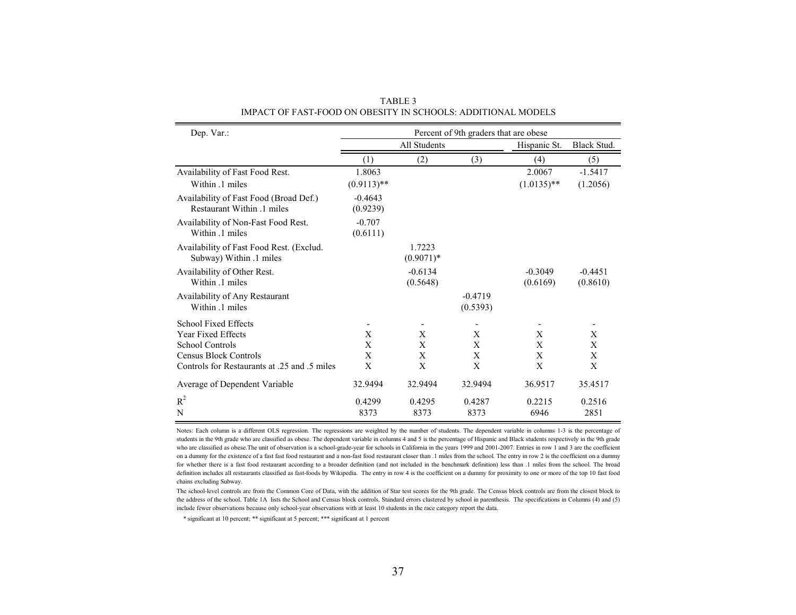| Dep. Var.:                                                           | Percent of 9th graders that are obese |                       |                          |                       |                       |  |
|----------------------------------------------------------------------|---------------------------------------|-----------------------|--------------------------|-----------------------|-----------------------|--|
|                                                                      |                                       | All Students          |                          | Hispanic St.          | Black Stud.           |  |
|                                                                      | (1)                                   | (2)                   | (3)                      | (4)                   | (5)                   |  |
| Availability of Fast Food Rest.                                      | 1.8063                                |                       |                          | 2.0067                | $-1.5417$             |  |
| Within 1 miles                                                       | $(0.9113)$ **                         |                       |                          | $(1.0135)$ **         | (1.2056)              |  |
| Availability of Fast Food (Broad Def.)<br>Restaurant Within 1 miles  | $-0.4643$<br>(0.9239)                 |                       |                          |                       |                       |  |
| Availability of Non-Fast Food Rest.<br>Within 1 miles                | $-0.707$<br>(0.6111)                  |                       |                          |                       |                       |  |
| Availability of Fast Food Rest. (Exclud.)<br>Subway) Within .1 miles |                                       | 1.7223<br>$(0.9071)*$ |                          |                       |                       |  |
| Availability of Other Rest.<br>Within 1 miles                        |                                       | $-0.6134$<br>(0.5648) |                          | $-0.3049$<br>(0.6169) | $-0.4451$<br>(0.8610) |  |
| Availability of Any Restaurant<br>Within 1 miles                     |                                       |                       | $-0.4719$<br>(0.5393)    |                       |                       |  |
| <b>School Fixed Effects</b>                                          |                                       |                       | $\overline{\phantom{a}}$ |                       |                       |  |
| <b>Year Fixed Effects</b>                                            | X                                     | X                     | X                        | X                     | X                     |  |
| <b>School Controls</b>                                               | X                                     | X                     | X                        | X                     | X                     |  |
| Census Block Controls                                                | X                                     | X                     | X                        | X                     | X                     |  |
| Controls for Restaurants at 25 and 5 miles                           | X                                     | X                     | X                        | X                     | X                     |  |
| Average of Dependent Variable                                        | 32.9494                               | 32.9494               | 32.9494                  | 36.9517               | 35.4517               |  |
| $R^2$                                                                | 0.4299                                | 0.4295                | 0.4287                   | 0.2215                | 0.2516                |  |
| N                                                                    | 8373                                  | 8373                  | 8373                     | 6946                  | 2851                  |  |

TABLE 3IMPACT OF FAST-FOOD ON OBESITY IN SCHOOLS: ADDITIONAL MODELS

Notes: Each column is a different OLS regression. The regressions are weighted by the number of students. The dependent variable in columns 1-3 is the percentage of students in the 9th grade who are classified as obese. The dependent variable in columns 4 and 5 is the percentage of Hispanic and Black students respectively in the 9th grade who are classified as obese.The unit of observation is a school-grade-year for schools in California in the years 1999 and 2001-2007. Entries in row 1 and 3 are the coefficient on a dummy for the existence of a fast fast food restaurant and a non-fast food restaurant closer than .1 miles from the school. The entry in row 2 is the coefficient on a dummy for whether there is <sup>a</sup> fast food restaurant according to <sup>a</sup> broader definition (and not included in the benchmark definition) less than .1 miles from the school. The broad definition includes all restaurants classified as fast-foods by Wikipedia. The entry in row 4 is the coefficient on <sup>a</sup> dummy for proximity to one or more of the top 10 fast food chains excluding Subway.

The school-level controls are from the Common Core of Data, with the addition of Star test scores for the 9th grade. The Census block controls are from the closest block to the address of the school. Table 1A lists the School and Census block controls. Standard errors clustered by school in parenthesis. The specifications in Columns (4) and (5) include fewer observations because only school-year observations with at least 10 students in the race category report the data.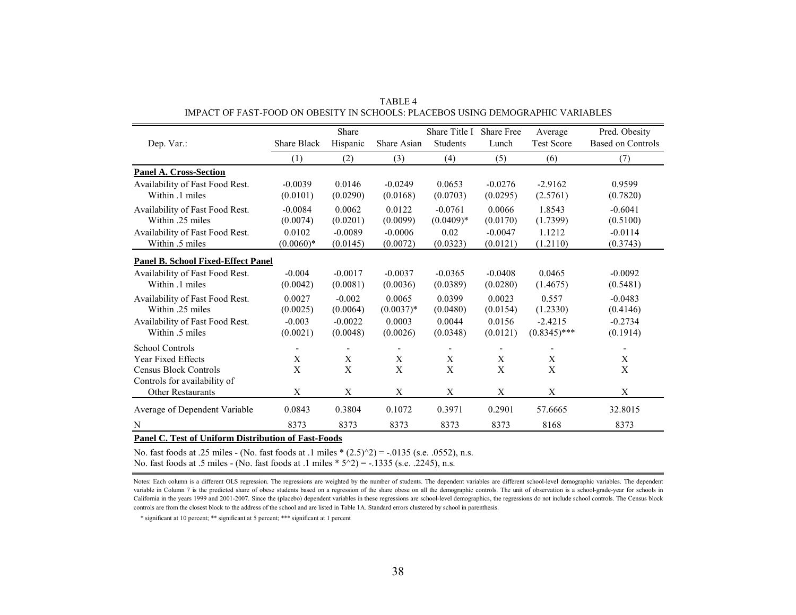|                                           |                    | Share                    |                           | Share Title I            | <b>Share Free</b>         | Average           | Pred. Obesity            |
|-------------------------------------------|--------------------|--------------------------|---------------------------|--------------------------|---------------------------|-------------------|--------------------------|
| Dep. Var.:                                | <b>Share Black</b> | Hispanic                 | Share Asian               | <b>Students</b>          | Lunch                     | <b>Test Score</b> | <b>Based on Controls</b> |
|                                           | (1)                | (2)                      | (3)                       | (4)                      | (5)                       | (6)               | (7)                      |
| <b>Panel A. Cross-Section</b>             |                    |                          |                           |                          |                           |                   |                          |
| Availability of Fast Food Rest.           | $-0.0039$          | 0.0146                   | $-0.0249$                 | 0.0653                   | $-0.0276$                 | $-2.9162$         | 0.9599                   |
| Within 1 miles                            | (0.0101)           | (0.0290)                 | (0.0168)                  | (0.0703)                 | (0.0295)                  | (2.5761)          | (0.7820)                 |
| Availability of Fast Food Rest.           | $-0.0084$          | 0.0062                   | 0.0122                    | $-0.0761$                | 0.0066                    | 1.8543            | $-0.6041$                |
| Within 25 miles                           | (0.0074)           | (0.0201)                 | (0.0099)                  | $(0.0409)*$              | (0.0170)                  | (1.7399)          | (0.5100)                 |
| Availability of Fast Food Rest.           | 0.0102             | $-0.0089$                | $-0.0006$                 | 0.02                     | $-0.0047$                 | 1.1212            | $-0.0114$                |
| Within .5 miles                           | $(0.0060)*$        | (0.0145)                 | (0.0072)                  | (0.0323)                 | (0.0121)                  | (1.2110)          | (0.3743)                 |
| <b>Panel B. School Fixed-Effect Panel</b> |                    |                          |                           |                          |                           |                   |                          |
| Availability of Fast Food Rest.           | $-0.004$           | $-0.0017$                | $-0.0037$                 | $-0.0365$                | $-0.0408$                 | 0.0465            | $-0.0092$                |
| Within 1 miles                            | (0.0042)           | (0.0081)                 | (0.0036)                  | (0.0389)                 | (0.0280)                  | (1.4675)          | (0.5481)                 |
| Availability of Fast Food Rest.           | 0.0027             | $-0.002$                 | 0.0065                    | 0.0399                   | 0.0023                    | 0.557             | $-0.0483$                |
| Within .25 miles                          | (0.0025)           | (0.0064)                 | $(0.0037)^*$              | (0.0480)                 | (0.0154)                  | (1.2330)          | (0.4146)                 |
| Availability of Fast Food Rest.           | $-0.003$           | $-0.0022$                | 0.0003                    | 0.0044                   | 0.0156                    | $-2.4215$         | $-0.2734$                |
| Within .5 miles                           | (0.0021)           | (0.0048)                 | (0.0026)                  | (0.0348)                 | (0.0121)                  | $(0.8345)$ ***    | (0.1914)                 |
| School Controls                           |                    | $\overline{\phantom{a}}$ | $\overline{\phantom{a}}$  | $\overline{\phantom{a}}$ |                           |                   |                          |
| <b>Year Fixed Effects</b>                 | X                  | X                        | $\boldsymbol{\mathrm{X}}$ | X                        | $\boldsymbol{\mathrm{X}}$ | X                 | X                        |
| Census Block Controls                     | X                  | X                        | X                         | X                        | $\mathbf X$               | X                 | X                        |
| Controls for availability of              |                    |                          |                           |                          |                           |                   |                          |
| <b>Other Restaurants</b>                  | X                  | X                        | X                         | X                        | X                         | X                 | X                        |
| Average of Dependent Variable             | 0.0843             | 0.3804                   | 0.1072                    | 0.3971                   | 0.2901                    | 57.6665           | 32.8015                  |
| N                                         | 8373               | 8373                     | 8373                      | 8373                     | 8373                      | 8168              | 8373                     |

TABLE 4 IMPACT OF FAST-FOOD ON OBESITY IN SCHOOLS: PLACEBOS USING DEMOGRAPHIC VARIABLES

#### **Panel C. Test of Uniform Distribution of Fast-Foods**

No. fast foods at .25 miles - (No. fast foods at .1 miles \* (2.5)^2) = -.0135 (s.e. .0552), n.s. No. fast foods at .5 miles - (No. fast foods at .1 miles  $* 5^2 = -1335$  (s.e. .2245), n.s.

Notes: Each column is a different OLS regression. The regressions are weighted by the number of students. The dependent variables are different school-level demographic variables. The dependent variable in Column 7 is the predicted share of obese students based on a regression of the share obese on all the demographic controls. The unit of observation is a school-grade-year for schools in California in the years 1999 and 2001-2007. Since the (placebo) dependent variables in these regressions are school-level demographics, the regressions do not include school controls. The Census block controls are from the closest block to the address of the school and are listed in Table 1A. Standard errors clustered by school in parenthesis.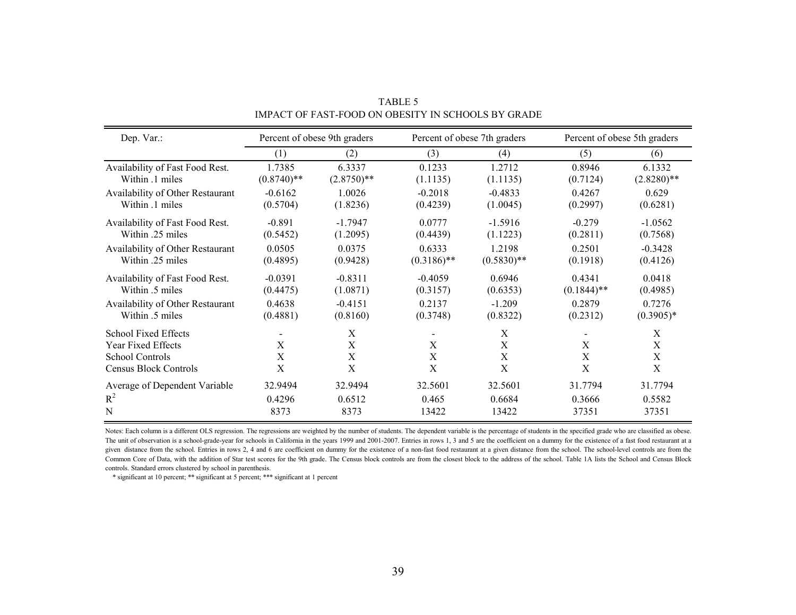| Dep. Var.:                                                                                                  | Percent of obese 9th graders |                  |               | Percent of obese 7th graders | Percent of obese 5th graders |                  |  |
|-------------------------------------------------------------------------------------------------------------|------------------------------|------------------|---------------|------------------------------|------------------------------|------------------|--|
|                                                                                                             | (1)                          | (2)              | (3)           | (4)                          | (5)                          | (6)              |  |
| Availability of Fast Food Rest.                                                                             | 1.7385                       | 6.3337           | 0.1233        | 1.2712                       | 0.8946                       | 6.1332           |  |
| Within .1 miles                                                                                             | $(0.8740)$ **                | $(2.8750)$ **    | (1.1135)      | (1.1135)                     | (0.7124)                     | $(2.8280)$ **    |  |
| Availability of Other Restaurant                                                                            | $-0.6162$                    | 1.0026           | $-0.2018$     | $-0.4833$                    | 0.4267                       | 0.629            |  |
| Within 1 miles                                                                                              | (0.5704)                     | (1.8236)         | (0.4239)      | (1.0045)                     | (0.2997)                     | (0.6281)         |  |
| Availability of Fast Food Rest.                                                                             | $-0.891$                     | $-1.7947$        | 0.0777        | $-1.5916$                    | $-0.279$                     | $-1.0562$        |  |
| Within .25 miles                                                                                            | (0.5452)                     | (1.2095)         | (0.4439)      | (1.1223)                     | (0.2811)                     | (0.7568)         |  |
| Availability of Other Restaurant                                                                            | 0.0505                       | 0.0375           | 0.6333        | 1.2198                       | 0.2501                       | $-0.3428$        |  |
| Within .25 miles                                                                                            | (0.4895)                     | (0.9428)         | $(0.3186)$ ** | $(0.5830)$ **                | (0.1918)                     | (0.4126)         |  |
| Availability of Fast Food Rest.                                                                             | $-0.0391$                    | $-0.8311$        | $-0.4059$     | 0.6946                       | 0.4341                       | 0.0418           |  |
| Within .5 miles                                                                                             | (0.4475)                     | (1.0871)         | (0.3157)      | (0.6353)                     | $(0.1844)$ **                | (0.4985)         |  |
| Availability of Other Restaurant                                                                            | 0.4638                       | $-0.4151$        | 0.2137        | $-1.209$                     | 0.2879                       | 0.7276           |  |
| Within .5 miles                                                                                             | (0.4881)                     | (0.8160)         | (0.3748)      | (0.8322)                     | (0.2312)                     | $(0.3905)*$      |  |
| <b>School Fixed Effects</b><br><b>Year Fixed Effects</b><br><b>School Controls</b><br>Census Block Controls | X<br>X<br>Χ                  | X<br>X<br>X<br>X | X<br>X<br>X   | X<br>X<br>X<br>X             | X<br>X<br>X                  | X<br>X<br>X<br>X |  |
| Average of Dependent Variable                                                                               | 32.9494                      | 32.9494          | 32.5601       | 32.5601                      | 31.7794                      | 31.7794          |  |
| $R^2$                                                                                                       | 0.4296                       | 0.6512           | 0.465         | 0.6684                       | 0.3666                       | 0.5582           |  |
| N                                                                                                           | 8373                         | 8373             | 13422         | 13422                        | 37351                        | 37351            |  |

TABLE 5 IMPACT OF FAST-FOOD ON OBESITY IN SCHOOLS BY GRADE

Notes: Each column is <sup>a</sup> different OLS regression. The regressions are weighted by the number of students. The dependent variable is the percentage of students in the specified grade who are classified as obese. The unit of observation is a school-grade-year for schools in California in the years 1999 and 2001-2007. Entries in rows 1, 3 and 5 are the coefficient on a dummy for the existence of a fast food restaurant at a given distance from the school. Entries in rows 2, 4 and 6 are coefficient on dummy for the existence of a non-fast food restaurant at a given distance from the school. The school-level controls are from the Common Core of Data, with the addition of Star test scores for the 9th grade. The Census block controls are from the closest block to the address of the school. Table 1A lists the School and Census Block controls. Standard errors clustered by school in parenthesis.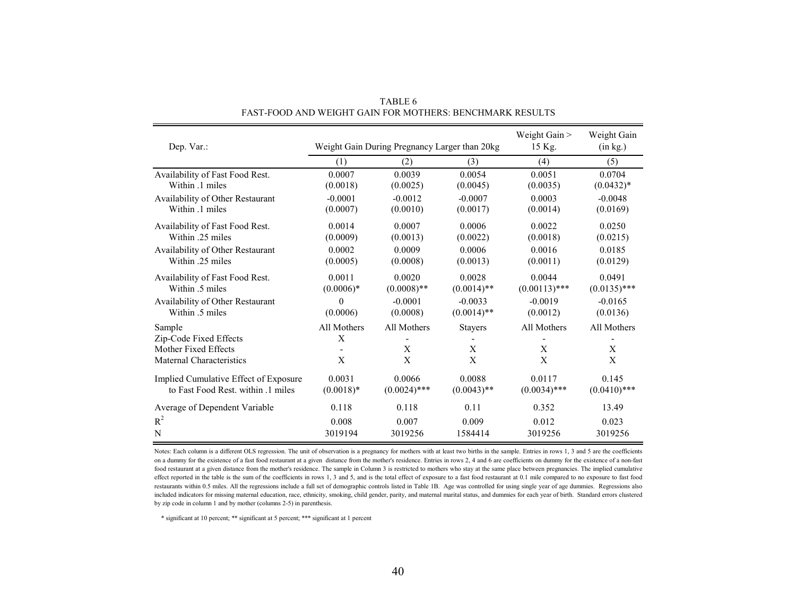| Dep. Var.:                            |              | Weight Gain During Pregnancy Larger than 20kg | Weight Gain $>$<br>15 Kg. | Weight Gain<br>(in kg.) |                |
|---------------------------------------|--------------|-----------------------------------------------|---------------------------|-------------------------|----------------|
|                                       | (1)          | (2)                                           | (3)                       | (4)                     | (5)            |
| Availability of Fast Food Rest.       | 0.0007       | 0.0039                                        | 0.0054                    | 0.0051                  | 0.0704         |
| Within 1 miles                        | (0.0018)     | (0.0025)                                      | (0.0045)                  | (0.0035)                | $(0.0432)*$    |
| Availability of Other Restaurant      | $-0.0001$    | $-0.0012$                                     | $-0.0007$                 | 0.0003                  | $-0.0048$      |
| Within 1 miles                        | (0.0007)     | (0.0010)                                      | (0.0017)                  | (0.0014)                | (0.0169)       |
| Availability of Fast Food Rest.       | 0.0014       | 0.0007                                        | 0.0006                    | 0.0022                  | 0.0250         |
| Within .25 miles                      | (0.0009)     | (0.0013)                                      | (0.0022)                  | (0.0018)                | (0.0215)       |
| Availability of Other Restaurant      | 0.0002       | 0.0009                                        | 0.0006                    | 0.0016                  | 0.0185         |
| Within 25 miles                       | (0.0005)     | (0.0008)                                      | (0.0013)                  | (0.0011)                | (0.0129)       |
| Availability of Fast Food Rest.       | 0.0011       | 0.0020                                        | 0.0028                    | 0.0044                  | 0.0491         |
| Within 5 miles                        | $(0.0006)*$  | $(0.0008)$ **                                 | $(0.0014)$ **             | $(0.00113)$ ***         | $(0.0135)$ *** |
| Availability of Other Restaurant      | $\theta$     | $-0.0001$                                     | $-0.0033$                 | $-0.0019$               | $-0.0165$      |
| Within .5 miles                       | (0.0006)     | (0.0008)                                      | $(0.0014)$ **             | (0.0012)                | (0.0136)       |
| Sample                                | All Mothers  | All Mothers                                   | <b>Stayers</b>            | All Mothers             | All Mothers    |
| Zip-Code Fixed Effects                | X            |                                               |                           |                         |                |
| Mother Fixed Effects                  |              | X                                             | X                         | X                       | X              |
| <b>Maternal Characteristics</b>       | $\mathbf{X}$ | $\mathbf{X}$                                  | $\mathbf{X}$              | X                       | $\mathbf{X}$   |
| Implied Cumulative Effect of Exposure | 0.0031       | 0.0066                                        | 0.0088                    | 0.0117                  | 0.145          |
| to Fast Food Rest. within 1 miles     | $(0.0018)*$  | $(0.0024)$ ***                                | $(0.0043)$ **             | $(0.0034)$ ***          | $(0.0410)$ *** |
| Average of Dependent Variable         | 0.118        | 0.118                                         | 0.11                      | 0.352                   | 13.49          |
| $R^2$                                 | 0.008        | 0.007                                         | 0.009                     | 0.012                   | 0.023          |
| N                                     | 3019194      | 3019256                                       | 1584414                   | 3019256                 | 3019256        |

TABLE 6FAST-FOOD AND WEIGHT GAIN FOR MOTHERS: BENCHMARK RESULTS

Notes: Each column is a different OLS regression. The unit of observation is a pregnancy for mothers with at least two births in the sample. Entries in rows 1, 3 and 5 are the coefficients on <sup>a</sup> dummy for the existence of <sup>a</sup> fast food restaurant at <sup>a</sup> given distance from the mother's residence. Entries in rows 2, 4 and 6 are coefficients on dummy for the existence of <sup>a</sup> non-fast food restaurant at <sup>a</sup> given distance from the mother's residence. The sample in Column 3 is restricted to mothers who stay at the same place between pregnancies. The implied cumulative effect reported in the table is the sum of the coefficients in rows 1, 3 and 5, and is the total effect of exposure to a fast food restaurant at 0.1 mile compared to no exposure to fast food restaurants within 0.5 miles. All the regressions include <sup>a</sup> full set of demographic controls listed in Table 1B. Age was controlled for using single year of age dummies. Regressions also included indicators for missing maternal education, race, ethnicity, smoking, child gender, parity, and maternal marital status, and dummies for each year of birth. Standard errors clustered by zip code in column 1 and by mother (columns 2-5) in parenthesis.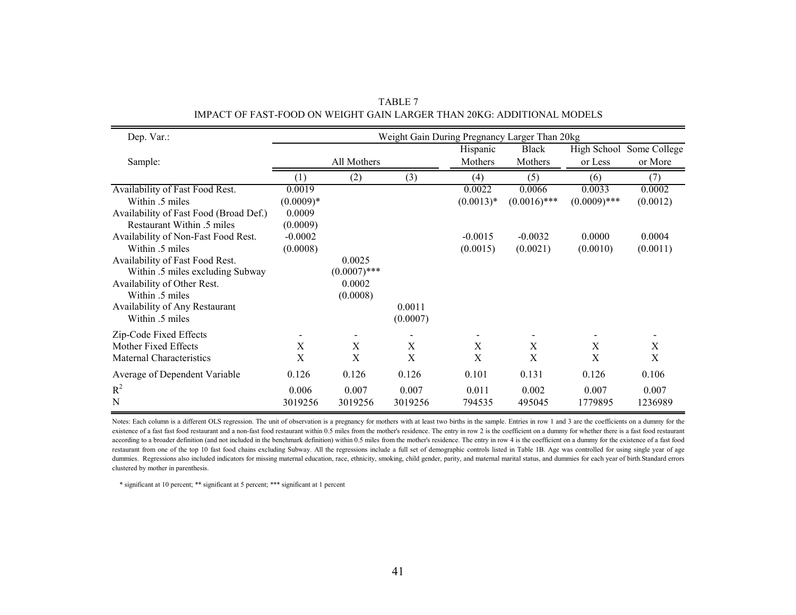| Dep. Var.:                             | Weight Gain During Pregnancy Larger Than 20kg |                |              |                     |                         |                |                                     |
|----------------------------------------|-----------------------------------------------|----------------|--------------|---------------------|-------------------------|----------------|-------------------------------------|
| Sample:                                |                                               | All Mothers    |              | Hispanic<br>Mothers | <b>Black</b><br>Mothers | or Less        | High School Some College<br>or More |
|                                        | (1)                                           | (2)            | (3)          | (4)                 | (5)                     | (6)            | (7)                                 |
| Availability of Fast Food Rest.        | 0.0019                                        |                |              | 0.0022              | 0.0066                  | 0.0033         | 0.0002                              |
| Within 5 miles                         | $(0.0009)*$                                   |                |              | $(0.0013)*$         | $(0.0016)$ ***          | $(0.0009)$ *** | (0.0012)                            |
| Availability of Fast Food (Broad Def.) | 0.0009                                        |                |              |                     |                         |                |                                     |
| Restaurant Within 5 miles              | (0.0009)                                      |                |              |                     |                         |                |                                     |
| Availability of Non-Fast Food Rest.    | $-0.0002$                                     |                |              | $-0.0015$           | $-0.0032$               | 0.0000         | 0.0004                              |
| Within .5 miles                        | (0.0008)                                      |                |              | (0.0015)            | (0.0021)                | (0.0010)       | (0.0011)                            |
| Availability of Fast Food Rest.        |                                               | 0.0025         |              |                     |                         |                |                                     |
| Within .5 miles excluding Subway       |                                               | $(0.0007)$ *** |              |                     |                         |                |                                     |
| Availability of Other Rest.            |                                               | 0.0002         |              |                     |                         |                |                                     |
| Within .5 miles                        |                                               | (0.0008)       |              |                     |                         |                |                                     |
| Availability of Any Restaurant         |                                               |                | 0.0011       |                     |                         |                |                                     |
| Within .5 miles                        |                                               |                | (0.0007)     |                     |                         |                |                                     |
| Zip-Code Fixed Effects                 |                                               |                |              |                     |                         |                |                                     |
| Mother Fixed Effects                   | X                                             | X              | X            | X                   | X                       | X              | X                                   |
| <b>Maternal Characteristics</b>        | X                                             | X              | $\mathbf{X}$ | X                   | X                       | X              | $\mathbf{X}$                        |
| Average of Dependent Variable          | 0.126                                         | 0.126          | 0.126        | 0.101               | 0.131                   | 0.126          | 0.106                               |
| $R^2$                                  | 0.006                                         | 0.007          | 0.007        | 0.011               | 0.002                   | 0.007          | 0.007                               |
| N                                      | 3019256                                       | 3019256        | 3019256      | 794535              | 495045                  | 1779895        | 1236989                             |

TABLE 7IMPACT OF FAST-FOOD ON WEIGHT GAIN LARGER THAN 20KG: ADDITIONAL MODELS

Notes: Each column is a different OLS regression. The unit of observation is a pregnancy for mothers with at least two births in the sample. Entries in row 1 and 3 are the coefficients on a dummy for the existence of a fast fast food restaurant and a non-fast food restaurant within 0.5 miles from the mother's residence. The entry in row 2 is the coefficient on a dummy for whether there is a fast food restaurant according to a broader definition (and not included in the benchmark definition) within 0.5 miles from the mother's residence. The entry in row 4 is the coefficient on a dummy for the existence of a fast food restaurant from one of the top 10 fast food chains excluding Subway. All the regressions include a full set of demographic controls listed in Table 1B. Age was controlled for using single year of age dummies. Regressions also included indicators for missing maternal education, race, ethnicity, smoking, child gender, parity, and maternal marital status, and dummies for each year of birth.Standard errors clustered by mother in parenthesis.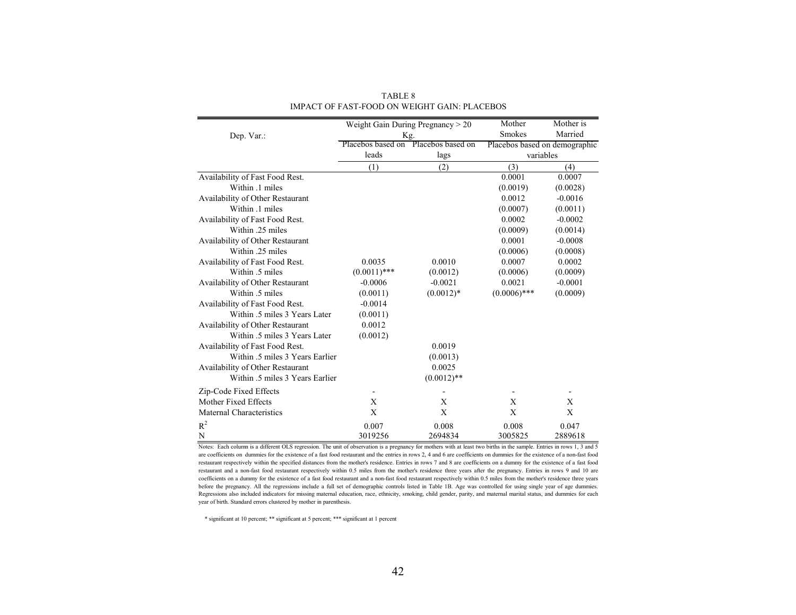|                                  | Weight Gain During Pregnancy $> 20$ |                   |                               |           |
|----------------------------------|-------------------------------------|-------------------|-------------------------------|-----------|
| Dep. Var.:                       |                                     | Kg.               | <b>Smokes</b>                 | Married   |
|                                  | Placebos based on                   | Placebos based on | Placebos based on demographic |           |
|                                  | leads                               | lags              | variables                     |           |
|                                  | (1)                                 | (2)               | (3)                           | (4)       |
| Availability of Fast Food Rest.  |                                     |                   | 0.0001                        | 0.0007    |
| Within 1 miles                   |                                     |                   | (0.0019)                      | (0.0028)  |
| Availability of Other Restaurant |                                     |                   | 0.0012                        | $-0.0016$ |
| Within 1 miles                   |                                     |                   | (0.0007)                      | (0.0011)  |
| Availability of Fast Food Rest.  |                                     |                   | 0.0002                        | $-0.0002$ |
| Within .25 miles                 |                                     |                   | (0.0009)                      | (0.0014)  |
| Availability of Other Restaurant |                                     |                   | 0.0001                        | $-0.0008$ |
| Within .25 miles                 |                                     |                   | (0.0006)                      | (0.0008)  |
| Availability of Fast Food Rest.  | 0.0035                              | 0.0010            | 0.0007                        | 0.0002    |
| Within .5 miles                  | $(0.0011)$ ***                      | (0.0012)          | (0.0006)                      | (0.0009)  |
| Availability of Other Restaurant | $-0.0006$                           | $-0.0021$         | 0.0021                        | $-0.0001$ |
| Within .5 miles                  | (0.0011)                            | $(0.0012)*$       | $(0.0006)$ ***                | (0.0009)  |
| Availability of Fast Food Rest.  | $-0.0014$                           |                   |                               |           |
| Within .5 miles 3 Years Later    | (0.0011)                            |                   |                               |           |
| Availability of Other Restaurant | 0.0012                              |                   |                               |           |
| Within .5 miles 3 Years Later    | (0.0012)                            |                   |                               |           |
| Availability of Fast Food Rest.  |                                     | 0.0019            |                               |           |
| Within .5 miles 3 Years Earlier  |                                     | (0.0013)          |                               |           |
| Availability of Other Restaurant |                                     | 0.0025            |                               |           |
| Within .5 miles 3 Years Earlier  |                                     | $(0.0012)$ **     |                               |           |
| Zip-Code Fixed Effects           |                                     |                   |                               |           |
| Mother Fixed Effects             | X                                   | X                 | X                             | X         |
| <b>Maternal Characteristics</b>  | X                                   | X                 | X                             | X         |
| $R^2$                            | 0.007                               | 0.008             | 0.008                         | 0.047     |
| N                                | 3019256                             | 2694834           | 3005825                       | 2889618   |

TABLE 8IMPACT OF FAST-FOOD ON WEIGHT GAIN: PLACEBOS

Notes: Each column is a different OLS regression. The unit of observation is a pregnancy for mothers with at least two births in the sample. Entries in rows 1, 3 and 5 are coefficients on dummies for the existence of <sup>a</sup> fast food restaurant and the entries in rows 2, 4 and 6 are coefficients on dummies for the existence of <sup>a</sup> non-fast food restaurant respectively within the specified distances from the mother's residence. Entries in rows 7 and 8 are coefficients on <sup>a</sup> dummy for the existence of <sup>a</sup> fast food restaurant and <sup>a</sup> non-fast food restaurant respectively within 0.5 miles from the mother's residence three years after the pregnancy. Entries in rows 9 and 10 are coefficients on <sup>a</sup> dummy for the existence of <sup>a</sup> fast food restaurant and <sup>a</sup> non-fast food restaurant respectively within 0.5 miles from the mother's residence three years before the pregnancy. All the regressions include <sup>a</sup> full set of demographic controls listed in Table 1B. Age was controlled for using single year of age dummies. Regressions also included indicators for missing maternal education, race, ethnicity, smoking, child gender, parity, and maternal marital status, and dummies for each year of birth. Standard errors clustered by mother in parenthesis.